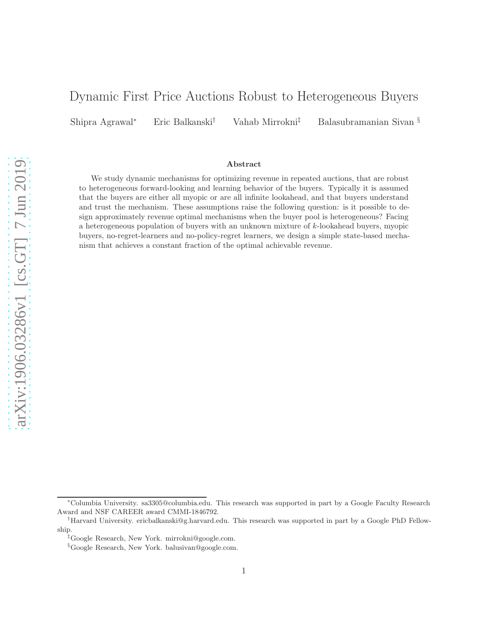# Dynamic First Price Auctions Robust to Heterogeneous Buyers

Shipra Agrawal<sup>∗</sup> Eric Balkanski† Vahab Mirrokni‡ Balasubramanian Sivan §

### Abstract

We study dynamic mechanisms for optimizing revenue in repeated auctions, that are robust to heterogeneous forward-looking and learning behavior of the buyers. Typically it is assumed that the buyers are either all myopic or are all infinite lookahead, and that buyers understand and trust the mechanism. These assumptions raise the following question: is it possible to design approximately revenue optimal mechanisms when the buyer pool is heterogeneous? Facing a heterogeneous population of buyers with an unknown mixture of k-lookahead buyers, myopic buyers, no-regret-learners and no-policy-regret learners, we design a simple state-based mechanism that achieves a constant fraction of the optimal achievable revenue.

<sup>∗</sup>Columbia University. sa3305@columbia.edu. This research was supported in part by a Google Faculty Research Award and NSF CAREER award CMMI-1846792.

<sup>†</sup>Harvard University. ericbalkanski@g.harvard.edu. This research was supported in part by a Google PhD Fellowship.

<sup>‡</sup>Google Research, New York. mirrokni@google.com.

<sup>§</sup>Google Research, New York. balusivan@google.com.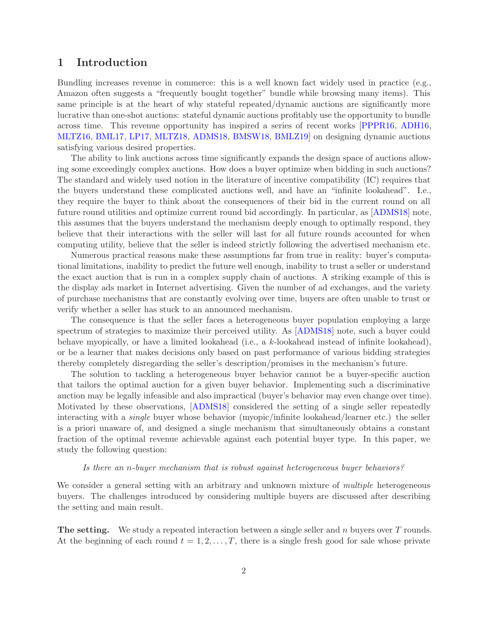## 1 Introduction

Bundling increases revenue in commerce: this is a well known fact widely used in practice (e.g., Amazon often suggests a "frequently bought together" bundle while browsing many items). This same principle is at the heart of why stateful repeated/dynamic auctions are significantly more lucrative than one-shot auctions: stateful dynamic auctions profitably use the opportunity to bundle across time. This revenue opportunity has inspired a series of recent works [\[PPPR16,](#page-14-0) [ADH16,](#page-12-0) [MLTZ16,](#page-14-1) [BML17,](#page-12-1) [LP17,](#page-14-2) [MLTZ18,](#page-14-3) [ADMS18,](#page-12-2) [BMSW18,](#page-13-0) [BMLZ19\]](#page-12-3) on designing dynamic auctions satisfying various desired properties.

The ability to link auctions across time significantly expands the design space of auctions allowing some exceedingly complex auctions. How does a buyer optimize when bidding in such auctions? The standard and widely used notion in the literature of incentive compatibility (IC) requires that the buyers understand these complicated auctions well, and have an "infinite lookahead". I.e., they require the buyer to think about the consequences of their bid in the current round on all future round utilities and optimize current round bid accordingly. In particular, as [\[ADMS18\]](#page-12-2) note, this assumes that the buyers understand the mechanism deeply enough to optimally respond, they believe that their interactions with the seller will last for all future rounds accounted for when computing utility, believe that the seller is indeed strictly following the advertised mechanism etc.

Numerous practical reasons make these assumptions far from true in reality: buyer's computational limitations, inability to predict the future well enough, inability to trust a seller or understand the exact auction that is run in a complex supply chain of auctions. A striking example of this is the display ads market in Internet advertising. Given the number of ad exchanges, and the variety of purchase mechanisms that are constantly evolving over time, buyers are often unable to trust or verify whether a seller has stuck to an announced mechanism.

The consequence is that the seller faces a heterogeneous buyer population employing a large spectrum of strategies to maximize their perceived utility. As [\[ADMS18\]](#page-12-2) note, such a buyer could behave myopically, or have a limited lookahead (i.e., a k-lookahead instead of infinite lookahead), or be a learner that makes decisions only based on past performance of various bidding strategies thereby completely disregarding the seller's description/promises in the mechanism's future.

The solution to tackling a heterogeneous buyer behavior cannot be a buyer-specific auction that tailors the optimal auction for a given buyer behavior. Implementing such a discriminative auction may be legally infeasible and also impractical (buyer's behavior may even change over time). Motivated by these observations, [\[ADMS18\]](#page-12-2) considered the setting of a single seller repeatedly interacting with a single buyer whose behavior (myopic/infinite lookahead/learner etc.) the seller is a priori unaware of, and designed a single mechanism that simultaneously obtains a constant fraction of the optimal revenue achievable against each potential buyer type. In this paper, we study the following question:

### Is there an n-buyer mechanism that is robust against heterogeneous buyer behaviors?

We consider a general setting with an arbitrary and unknown mixture of *multiple* heterogeneous buyers. The challenges introduced by considering multiple buyers are discussed after describing the setting and main result.

**The setting.** We study a repeated interaction between a single seller and  $n$  buyers over  $T$  rounds. At the beginning of each round  $t = 1, 2, \ldots, T$ , there is a single fresh good for sale whose private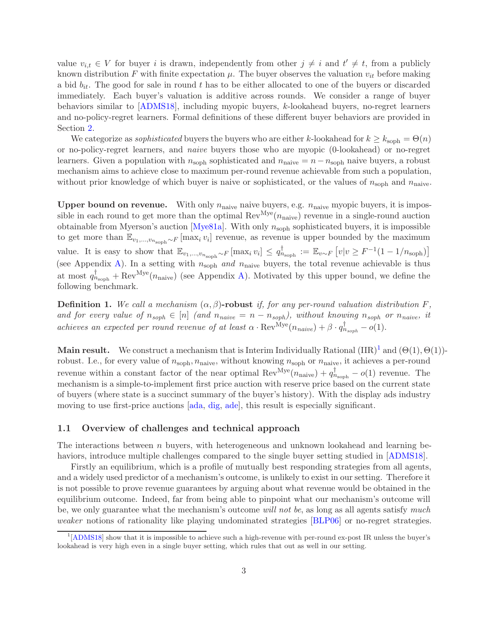value  $v_{i,t} \in V$  for buyer i is drawn, independently from other  $j \neq i$  and  $t' \neq t$ , from a publicly known distribution F with finite expectation  $\mu$ . The buyer observes the valuation  $v_{it}$  before making a bid  $b_{it}$ . The good for sale in round t has to be either allocated to one of the buyers or discarded immediately. Each buyer's valuation is additive across rounds. We consider a range of buyer behaviors similar to [\[ADMS18\]](#page-12-2), including myopic buyers, k-lookahead buyers, no-regret learners and no-policy-regret learners. Formal definitions of these different buyer behaviors are provided in Section [2.](#page-4-0)

We categorize as *sophisticated* buyers the buyers who are either k-lookahead for  $k \geq k_{\text{soph}} = \Theta(n)$ or no-policy-regret learners, and naive buyers those who are myopic (0-lookahead) or no-regret learners. Given a population with  $n_{\rm soph}$  sophisticated and  $n_{\rm naive} = n - n_{\rm soph}$  naive buyers, a robust mechanism aims to achieve close to maximum per-round revenue achievable from such a population, without prior knowledge of which buyer is naive or sophisticated, or the values of  $n_{\rm soph}$  and  $n_{\rm naive}$ .

**Upper bound on revenue.** With only  $n_{\text{naive}}$  naive buyers, e.g.  $n_{\text{naive}}$  myopic buyers, it is impossible in each round to get more than the optimal  $Rev^{Mye}(n_{naive})$  revenue in a single-round auction obtainable from Myerson's auction [\[Mye81a\]](#page-14-4). With only  $n_{\rm{soph}}$  sophisticated buyers, it is impossible to get more than  $\mathbb{E}_{v_1,\dots,v_{n_{\text{soph}}}\sim F}$  [max<sub>i</sub>  $v_i$ ] revenue, as revenue is upper bounded by the maximum value. It is easy to show that  $\mathbb{E}_{v_1,\dots,v_{n_{\text{soph}}}\sim F}[\max_i v_i] \leq q_{n_{\text{soph}}}^{\dagger} := \mathbb{E}_{v\sim F} [v|v \geq F^{-1}(1-1/n_{\text{soph}})]$ (see Appendix [A\)](#page-15-0). In a setting with  $n_{\text{soph}}$  and  $n_{\text{naive}}$  buyers, the total revenue achievable is thus at most  $q_{n_{\text{soph}}}^{\dagger} + \text{Rev}^{\text{Mye}}(n_{\text{naive}})$  (see Appendix [A\)](#page-15-0). Motivated by this upper bound, we define the following benchmark.

**Definition 1.** We call a mechanism  $(\alpha, \beta)$ -robust if, for any per-round valuation distribution F, and for every value of  $n_{soph} \in [n]$  (and  $n_{naive} = n - n_{soph}$ ), without knowing  $n_{soph}$  or  $n_{naive}$ , it achieves an expected per round revenue of at least  $\alpha \cdot \text{Rev}^{\text{Mye}}(n_{naive}) + \beta \cdot q^{\dagger}_{n_{soph}} - o(1)$ .

**Main result.** We construct a mechanism that is Interim Individually Rational  $(IIR)^{1}$  $(IIR)^{1}$  $(IIR)^{1}$  and  $(\Theta(1), \Theta(1))$ robust. I.e., for every value of  $n_{\text{soph}}$ ,  $n_{\text{naive}}$ , without knowing  $n_{\text{soph}}$  or  $n_{\text{naive}}$ , it achieves a per-round revenue within a constant factor of the near optimal  $\text{Rev}^{\text{Mye}}(n_{\text{naive}}) + q_{n_{\text{soph}}}^{\dagger} - o(1)$  revenue. The mechanism is a simple-to-implement first price auction with reserve price based on the current state of buyers (where state is a succinct summary of the buyer's history). With the display ads industry moving to use first-price auctions [\[ada,](#page-12-4) [dig,](#page-13-1) [ade\]](#page-12-5), this result is especially significant.

### 1.1 Overview of challenges and technical approach

The interactions between  $n$  buyers, with heterogeneous and unknown lookahead and learning behaviors, introduce multiple challenges compared to the single buyer setting studied in [\[ADMS18\]](#page-12-2).

Firstly an equilibrium, which is a profile of mutually best responding strategies from all agents, and a widely used predictor of a mechanism's outcome, is unlikely to exist in our setting. Therefore it is not possible to prove revenue guarantees by arguing about what revenue would be obtained in the equilibrium outcome. Indeed, far from being able to pinpoint what our mechanism's outcome will be, we only guarantee what the mechanism's outcome will not be, as long as all agents satisfy much weaker notions of rationality like playing undominated strategies [\[BLP06\]](#page-12-6) or no-regret strategies.

<span id="page-2-0"></span><sup>1</sup> [\[ADMS18\]](#page-12-2) show that it is impossible to achieve such a high-revenue with per-round ex-post IR unless the buyer's lookahead is very high even in a single buyer setting, which rules that out as well in our setting.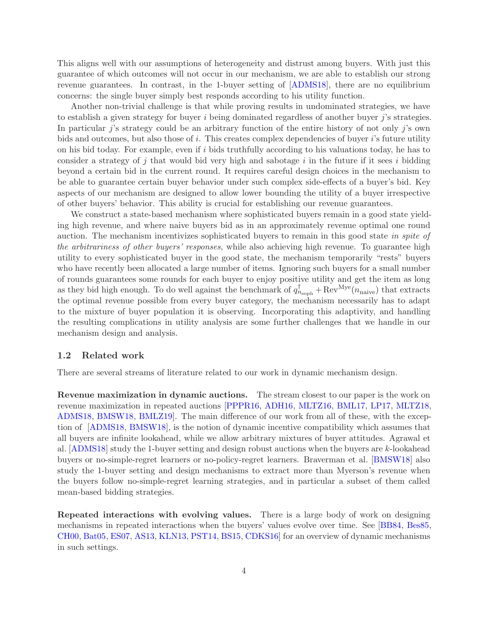This aligns well with our assumptions of heterogeneity and distrust among buyers. With just this guarantee of which outcomes will not occur in our mechanism, we are able to establish our strong revenue guarantees. In contrast, in the 1-buyer setting of [\[ADMS18\]](#page-12-2), there are no equilibrium concerns: the single buyer simply best responds according to his utility function.

Another non-trivial challenge is that while proving results in undominated strategies, we have to establish a given strategy for buyer  $i$  being dominated regardless of another buyer  $j$ 's strategies. In particular *j*'s strategy could be an arbitrary function of the entire history of not only *j*'s own bids and outcomes, but also those of i. This creates complex dependencies of buyer i's future utility on his bid today. For example, even if i bids truthfully according to his valuations today, he has to consider a strategy of  $j$  that would bid very high and sabotage  $i$  in the future if it sees  $i$  bidding beyond a certain bid in the current round. It requires careful design choices in the mechanism to be able to guarantee certain buyer behavior under such complex side-effects of a buyer's bid. Key aspects of our mechanism are designed to allow lower bounding the utility of a buyer irrespective of other buyers' behavior. This ability is crucial for establishing our revenue guarantees.

We construct a state-based mechanism where sophisticated buyers remain in a good state yielding high revenue, and where naive buyers bid as in an approximately revenue optimal one round auction. The mechanism incentivizes sophisticated buyers to remain in this good state in spite of the arbitrariness of other buyers' responses, while also achieving high revenue. To guarantee high utility to every sophisticated buyer in the good state, the mechanism temporarily "rests" buyers who have recently been allocated a large number of items. Ignoring such buyers for a small number of rounds guarantees some rounds for each buyer to enjoy positive utility and get the item as long as they bid high enough. To do well against the benchmark of  $q_{n_{\text{soph}}}^{\dagger} + \text{Rev}^{\text{Mye}}(n_{\text{naive}})$  that extracts the optimal revenue possible from every buyer category, the mechanism necessarily has to adapt to the mixture of buyer population it is observing. Incorporating this adaptivity, and handling the resulting complications in utility analysis are some further challenges that we handle in our mechanism design and analysis.

### 1.2 Related work

There are several streams of literature related to our work in dynamic mechanism design.

Revenue maximization in dynamic auctions. The stream closest to our paper is the work on revenue maximization in repeated auctions [\[PPPR16,](#page-14-0) [ADH16,](#page-12-0) [MLTZ16,](#page-14-1) [BML17,](#page-12-1) [LP17,](#page-14-2) [MLTZ18,](#page-14-3) [ADMS18,](#page-12-2) [BMSW18,](#page-13-0) [BMLZ19\]](#page-12-3). The main difference of our work from all of these, with the exception of [\[ADMS18,](#page-12-2) [BMSW18\]](#page-13-0), is the notion of dynamic incentive compatibility which assumes that all buyers are infinite lookahead, while we allow arbitrary mixtures of buyer attitudes. Agrawal et al. [\[ADMS18\]](#page-12-2) study the 1-buyer setting and design robust auctions when the buyers are k-lookahead buyers or no-simple-regret learners or no-policy-regret learners. Braverman et al. [\[BMSW18\]](#page-13-0) also study the 1-buyer setting and design mechanisms to extract more than Myerson's revenue when the buyers follow no-simple-regret learning strategies, and in particular a subset of them called mean-based bidding strategies.

Repeated interactions with evolving values. There is a large body of work on designing mechanisms in repeated interactions when the buyers' values evolve over time. See [\[BB84,](#page-12-7) [Bes85,](#page-12-8) [CH00,](#page-13-2) [Bat05,](#page-12-9) [ES07,](#page-13-3) [AS13,](#page-12-10) [KLN13,](#page-14-5) [PST14,](#page-14-6) [BS15,](#page-13-4) [CDKS16\]](#page-13-5) for an overview of dynamic mechanisms in such settings.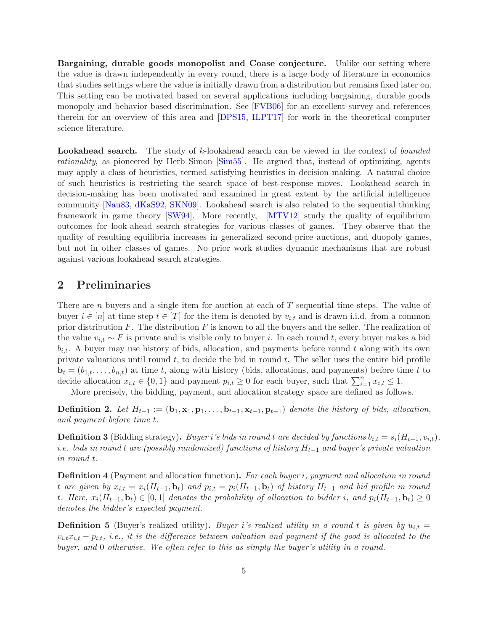Bargaining, durable goods monopolist and Coase conjecture. Unlike our setting where the value is drawn independently in every round, there is a large body of literature in economics that studies settings where the value is initially drawn from a distribution but remains fixed later on. This setting can be motivated based on several applications including bargaining, durable goods monopoly and behavior based discrimination. See [\[FVB06\]](#page-13-6) for an excellent survey and references therein for an overview of this area and [\[DPS15,](#page-13-7) [ILPT17\]](#page-13-8) for work in the theoretical computer science literature.

**Lookahead search.** The study of  $k$ -lookahead search can be viewed in the context of *bounded* rationality, as pioneered by Herb Simon [\[Sim55\]](#page-14-7). He argued that, instead of optimizing, agents may apply a class of heuristics, termed satisfying heuristics in decision making. A natural choice of such heuristics is restricting the search space of best-response moves. Lookahead search in decision-making has been motivated and examined in great extent by the artificial intelligence community [\[Nau83,](#page-14-8) [dKaS92,](#page-13-9) [SKN09\]](#page-14-9). Lookahead search is also related to the sequential thinking framework in game theory [\[SW94\]](#page-14-10). More recently, [\[MTV12\]](#page-14-11) study the quality of equilibrium outcomes for look-ahead search strategies for various classes of games. They observe that the quality of resulting equilibria increases in generalized second-price auctions, and duopoly games, but not in other classes of games. No prior work studies dynamic mechanisms that are robust against various lookahead search strategies.

### <span id="page-4-0"></span>2 Preliminaries

There are *n* buyers and a single item for auction at each of T sequential time steps. The value of buyer  $i \in [n]$  at time step  $t \in [T]$  for the item is denoted by  $v_{i,t}$  and is drawn i.i.d. from a common prior distribution  $F$ . The distribution  $F$  is known to all the buyers and the seller. The realization of the value  $v_{i,t} \sim F$  is private and is visible only to buyer i. In each round t, every buyer makes a bid  $b_{i,t}$ . A buyer may use history of bids, allocation, and payments before round t along with its own private valuations until round  $t$ , to decide the bid in round  $t$ . The seller uses the entire bid profile  $\mathbf{b}_t = (b_{1,t}, \ldots, b_{n,t})$  at time t, along with history (bids, allocations, and payments) before time t to decide allocation  $x_{i,t} \in \{0,1\}$  and payment  $p_{i,t} \geq 0$  for each buyer, such that  $\sum_{i=1}^{n} x_{i,t} \leq 1$ .

More precisely, the bidding, payment, and allocation strategy space are defined as follows.

**Definition 2.** Let  $H_{t-1} := (\mathbf{b}_1, \mathbf{x}_1, \mathbf{p}_1, \ldots, \mathbf{b}_{t-1}, \mathbf{x}_{t-1}, \mathbf{p}_{t-1})$  denote the history of bids, allocation, and payment before time t.

<span id="page-4-1"></span>**Definition 3** (Bidding strategy). Buyer i's bids in round t are decided by functions  $b_{i,t} = s_i(H_{t-1}, v_{i,t})$ , i.e. bids in round t are (possibly randomized) functions of history  $H_{t-1}$  and buyer's private valuation in round t.

**Definition 4** (Payment and allocation function). For each buyer i, payment and allocation in round t are given by  $x_{i,t} = x_i(H_{t-1}, \mathbf{b}_t)$  and  $p_{i,t} = p_i(H_{t-1}, \mathbf{b}_t)$  of history  $H_{t-1}$  and bid profile in round t. Here,  $x_i(H_{t-1}, \mathbf{b}_t) \in [0,1]$  denotes the probability of allocation to bidder i, and  $p_i(H_{t-1}, \mathbf{b}_t) \geq 0$ denotes the bidder's expected payment.

**Definition 5** (Buyer's realized utility). Buyer i's realized utility in a round t is given by  $u_{i,t} =$  $v_{i,t}x_{i,t} - p_{i,t}$ , i.e., it is the difference between valuation and payment if the good is allocated to the buyer, and 0 otherwise. We often refer to this as simply the buyer's utility in a round.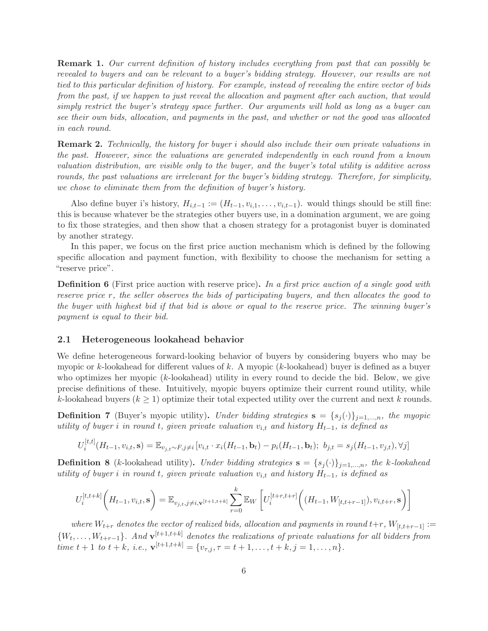Remark 1. Our current definition of history includes everything from past that can possibly be revealed to buyers and can be relevant to a buyer's bidding strategy. However, our results are not tied to this particular definition of history. For example, instead of revealing the entire vector of bids from the past, if we happen to just reveal the allocation and payment after each auction, that would simply restrict the buyer's strategy space further. Our arguments will hold as long as a buyer can see their own bids, allocation, and payments in the past, and whether or not the good was allocated in each round.

**Remark 2.** Technically, the history for buyer i should also include their own private valuations in the past. However, since the valuations are generated independently in each round from a known valuation distribution, are visible only to the buyer, and the buyer's total utility is additive across rounds, the past valuations are irrelevant for the buyer's bidding strategy. Therefore, for simplicity, we chose to eliminate them from the definition of buyer's history.

Also define buyer i's history,  $H_{i,t-1} := (H_{t-1}, v_{i,1}, \ldots, v_{i,t-1})$ . would things should be still fine: this is because whatever be the strategies other buyers use, in a domination argument, we are going to fix those strategies, and then show that a chosen strategy for a protagonist buyer is dominated by another strategy.

In this paper, we focus on the first price auction mechanism which is defined by the following specific allocation and payment function, with flexibility to choose the mechanism for setting a "reserve price".

**Definition 6** (First price auction with reserve price). In a first price auction of a single good with reserve price r, the seller observes the bids of participating buyers, and then allocates the good to the buyer with highest bid if that bid is above or equal to the reserve price. The winning buyer's payment is equal to their bid.

### 2.1 Heterogeneous lookahead behavior

We define heterogeneous forward-looking behavior of buyers by considering buyers who may be myopic or k-lookahead for different values of k. A myopic (k-lookahead) buyer is defined as a buyer who optimizes her myopic (k-lookahead) utility in every round to decide the bid. Below, we give precise definitions of these. Intuitively, myopic buyers optimize their current round utility, while k-lookahead buyers ( $k \geq 1$ ) optimize their total expected utility over the current and next k rounds.

**Definition 7** (Buyer's myopic utility). Under bidding strategies  $\mathbf{s} = \{s_j(\cdot)\}_{j=1,\dots,n}$ , the myopic utility of buyer i in round t, given private valuation  $v_{i,t}$  and history  $H_{t-1}$ , is defined as

$$
U_i^{[t,t]}(H_{t-1}, v_{i,t}, \mathbf{s}) = \mathbb{E}_{v_{j,t} \sim F, j \neq i} [v_{i,t} \cdot x_i(H_{t-1}, \mathbf{b}_t) - p_i(H_{t-1}, \mathbf{b}_t); b_{j,t} = s_j(H_{t-1}, v_{j,t}), \forall j]
$$

**Definition 8** (k-lookahead utility). Under bidding strategies  $\mathbf{s} = \{s_i(\cdot)\}_{i=1,\dots,n}$ , the k-lookahead utility of buyer i in round t, given private valuation  $v_{i,t}$  and history  $H_{t-1}$ , is defined as

$$
U_i^{[t,t+k]}\bigg(H_{t-1},v_{i,t},\mathbf{s}\bigg) = \mathbb{E}_{v_{j,t},j\neq i,\mathbf{v}^{[t+1,t+k]}}\sum_{r=0}^k \mathbb{E}_W\left[U_i^{[t+r,t+r]}\bigg((H_{t-1},W_{[t,t+r-1]}),v_{i,t+r},\mathbf{s}\bigg)\right]
$$

where  $W_{t+r}$  denotes the vector of realized bids, allocation and payments in round  $t+r$ ,  $W_{[t,t+r-1]} :=$  ${W_t, \ldots, W_{t+r-1}}$ . And  ${\bf v}^{[t+1,t+k]}$  denotes the realizations of private valuations for all bidders from time  $t + 1$  to  $t + k$ , i.e.,  $\mathbf{v}^{[t+1,t+k]} = \{v_{\tau,j}, \tau = t+1, \ldots, t+k, j = 1, \ldots, n\}.$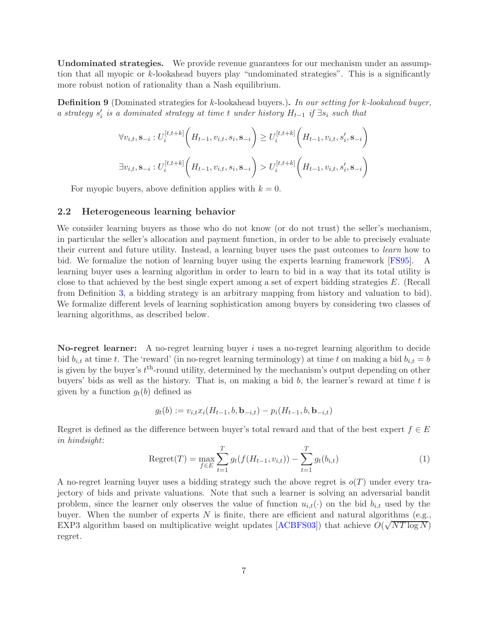Undominated strategies. We provide revenue guarantees for our mechanism under an assumption that all myopic or k-lookahead buyers play "undominated strategies". This is a significantly more robust notion of rationality than a Nash equilibrium.

Definition 9 (Dominated strategies for k-lookahead buyers.). In our setting for k-lookahead buyer, a strategy  $s_i'$  is a dominated strategy at time t under history  $H_{t-1}$  if  $\exists s_i$  such that

$$
\forall v_{i,t}, \mathbf{s}_{-i} : U_i^{[t,t+k]} \left( H_{t-1}, v_{i,t}, s_i, \mathbf{s}_{-i} \right) \ge U_i^{[t,t+k]} \left( H_{t-1}, v_{i,t}, s'_i, \mathbf{s}_{-i} \right)
$$
  

$$
\exists v_{i,t}, \mathbf{s}_{-i} : U_i^{[t,t+k]} \left( H_{t-1}, v_{i,t}, s_i, \mathbf{s}_{-i} \right) > U_i^{[t,t+k]} \left( H_{t-1}, v_{i,t}, s'_i, \mathbf{s}_{-i} \right)
$$

For myopic buyers, above definition applies with  $k = 0$ .

### 2.2 Heterogeneous learning behavior

We consider learning buyers as those who do not know (or do not trust) the seller's mechanism, in particular the seller's allocation and payment function, in order to be able to precisely evaluate their current and future utility. Instead, a learning buyer uses the past outcomes to learn how to bid. We formalize the notion of learning buyer using the experts learning framework [\[FS95\]](#page-13-10). A learning buyer uses a learning algorithm in order to learn to bid in a way that its total utility is close to that achieved by the best single expert among a set of expert bidding strategies E. (Recall from Definition [3,](#page-4-1) a bidding strategy is an arbitrary mapping from history and valuation to bid). We formalize different levels of learning sophistication among buyers by considering two classes of learning algorithms, as described below.

No-regret learner: A no-regret learning buyer i uses a no-regret learning algorithm to decide bid  $b_{i,t}$  at time t. The 'reward' (in no-regret learning terminology) at time t on making a bid  $b_{i,t} = b$ is given by the buyer's  $t^{\text{th}}$ -round utility, determined by the mechanism's output depending on other buyers' bids as well as the history. That is, on making a bid  $b$ , the learner's reward at time  $t$  is given by a function  $g_t(b)$  defined as

$$
g_t(b) := v_{i,t} x_i(H_{t-1}, b, \mathbf{b}_{-i,t}) - p_i(H_{t-1}, b, \mathbf{b}_{-i,t})
$$

Regret is defined as the difference between buyer's total reward and that of the best expert  $f \in E$ in hindsight:

Regret
$$
(T)
$$
 =  $\max_{f \in E} \sum_{t=1}^{T} g_t(f(H_{t-1}, v_{i,t})) - \sum_{t=1}^{T} g_t(b_{i,t})$  (1)

A no-regret learning buyer uses a bidding strategy such the above regret is  $o(T)$  under every trajectory of bids and private valuations. Note that such a learner is solving an adversarial bandit problem, since the learner only observes the value of function  $u_{i,t}(\cdot)$  on the bid  $b_{i,t}$  used by the buyer. When the number of experts  $N$  is finite, there are efficient and natural algorithms (e.g., EXP3 algorithm based on multiplicative weight updates [\[ACBFS03\]](#page-12-11)) that achieve  $O(\sqrt{NT \log N})$ regret.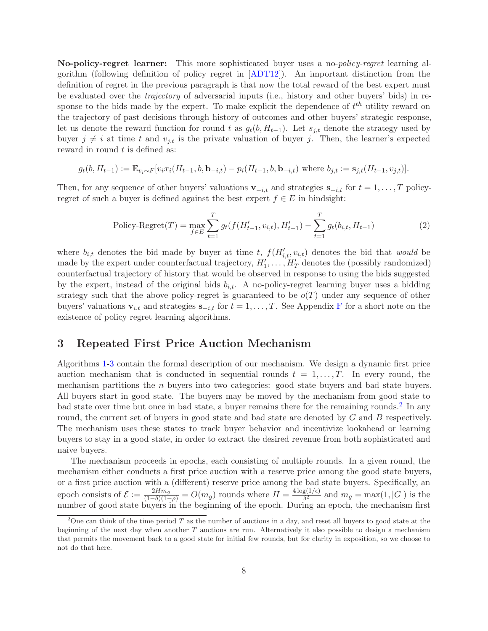No-policy-regret learner: This more sophisticated buyer uses a no-policy-regret learning algorithm (following definition of policy regret in [\[ADT12\]](#page-12-12)). An important distinction from the definition of regret in the previous paragraph is that now the total reward of the best expert must be evaluated over the trajectory of adversarial inputs (i.e., history and other buyers' bids) in response to the bids made by the expert. To make explicit the dependence of  $t^{th}$  utility reward on the trajectory of past decisions through history of outcomes and other buyers' strategic response, let us denote the reward function for round t as  $g_t(b, H_{t-1})$ . Let  $s_{i,t}$  denote the strategy used by buyer  $j \neq i$  at time t and  $v_{j,t}$  is the private valuation of buyer j. Then, the learner's expected reward in round  $t$  is defined as:

$$
g_t(b, H_{t-1}) := \mathbb{E}_{v_i \sim F}[v_i x_i(H_{t-1}, b, \mathbf{b}_{-i,t}) - p_i(H_{t-1}, b, \mathbf{b}_{-i,t}) \text{ where } b_{j,t} := \mathbf{s}_{j,t}(H_{t-1}, v_{j,t})].
$$

Then, for any sequence of other buyers' valuations  $\mathbf{v}_{-i,t}$  and strategies  $\mathbf{s}_{-i,t}$  for  $t = 1, \ldots, T$  policyregret of such a buyer is defined against the best expert  $f \in E$  in hindsight:

$$
\text{Policy-Regret}(T) = \max_{f \in E} \sum_{t=1}^{T} g_t(f(H'_{t-1}, v_{i,t}), H'_{t-1}) - \sum_{t=1}^{T} g_t(b_{i,t}, H_{t-1}) \tag{2}
$$

where  $b_{i,t}$  denotes the bid made by buyer at time t,  $f(H'_{i,t}, v_{i,t})$  denotes the bid that would be made by the expert under counterfactual trajectory,  $H'_1, \ldots, H'_T$  denotes the (possibly randomized) counterfactual trajectory of history that would be observed in response to using the bids suggested by the expert, instead of the original bids  $b_{i,t}$ . A no-policy-regret learning buyer uses a bidding strategy such that the above policy-regret is guaranteed to be  $o(T)$  under any sequence of other buyers' valuations  $\mathbf{v}_{i,t}$  and strategies  $\mathbf{s}_{-i,t}$  for  $t = 1, \ldots, T$ . See Appendix [F](#page-25-0) for a short note on the existence of policy regret learning algorithms.

## 3 Repeated First Price Auction Mechanism

Algorithms [1-](#page-8-0)[3](#page-9-0) contain the formal description of our mechanism. We design a dynamic first price auction mechanism that is conducted in sequential rounds  $t = 1, \ldots, T$ . In every round, the mechanism partitions the n buyers into two categories: good state buyers and bad state buyers. All buyers start in good state. The buyers may be moved by the mechanism from good state to bad state over time but once in bad state, a buyer remains there for the remaining rounds.<sup>[2](#page-7-0)</sup> In any round, the current set of buyers in good state and bad state are denoted by G and B respectively. The mechanism uses these states to track buyer behavior and incentivize lookahead or learning buyers to stay in a good state, in order to extract the desired revenue from both sophisticated and naive buyers.

The mechanism proceeds in epochs, each consisting of multiple rounds. In a given round, the mechanism either conducts a first price auction with a reserve price among the good state buyers, or a first price auction with a (different) reserve price among the bad state buyers. Specifically, an epoch consists of  $\mathcal{E} := \frac{2Hm_g}{(1-\delta)(1-\rho)} = O(m_g)$  rounds where  $H = \frac{4\log(1/\epsilon)}{\delta^2}$  $\frac{g(1/\epsilon)}{\delta^2}$  and  $m_g = \max(1, |G|)$  is the number of good state buyers in the beginning of the epoch. During an epoch, the mechanism first

<span id="page-7-0"></span><sup>&</sup>lt;sup>2</sup>One can think of the time period T as the number of auctions in a day, and reset all buyers to good state at the beginning of the next day when another  $T$  auctions are run. Alternatively it also possible to design a mechanism that permits the movement back to a good state for initial few rounds, but for clarity in exposition, so we choose to not do that here.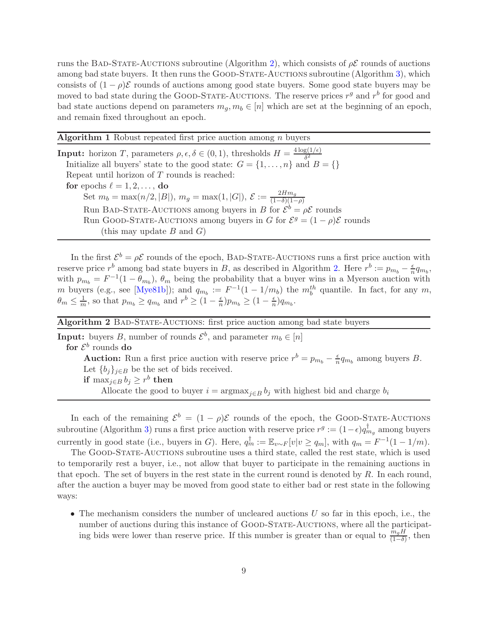runs the BAD-STATE-AUCTIONS subroutine (Algorithm [2\)](#page-8-1), which consists of  $\rho \mathcal{E}$  rounds of auctions among bad state buyers. It then runs the GOOD-STATE-AUCTIONS subroutine (Algorithm [3\)](#page-9-0), which consists of  $(1 - \rho)\mathcal{E}$  rounds of auctions among good state buyers. Some good state buyers may be moved to bad state during the GOOD-STATE-AUCTIONS. The reserve prices  $r<sup>g</sup>$  and  $r<sup>b</sup>$  for good and bad state auctions depend on parameters  $m_q, m_b \in [n]$  which are set at the beginning of an epoch, and remain fixed throughout an epoch.

| <b>Algorithm 1</b> Robust repeated first price auction among $n$ buyers |  |  |  |  |  |  |  |  |
|-------------------------------------------------------------------------|--|--|--|--|--|--|--|--|
|-------------------------------------------------------------------------|--|--|--|--|--|--|--|--|

**Input:** horizon T, parameters  $\rho, \epsilon, \delta \in (0, 1)$ , thresholds  $H = \frac{4 \log(1/\epsilon)}{\delta^2}$  $\delta^2$ Initialize all buyers' state to the good state:  $G = \{1, \ldots, n\}$  and  $B = \{\}$ Repeat until horizon of T rounds is reached: for epochs  $\ell = 1, 2, \ldots$ , do Set  $m_b = \max(n/2, |B|), m_g = \max(1, |G|), \mathcal{E} := \frac{2Hm_g}{(1-\delta)(1-\delta)}$ (1−δ)(1−ρ) Run BAD-STATE-AUCTIONS among buyers in B for  $\mathcal{E}^b = \rho \mathcal{E}$  rounds Run GOOD-STATE-AUCTIONS among buyers in G for  $\mathcal{E}^g = (1 - \rho)\mathcal{E}$  rounds (this may update  $B$  and  $G$ )

<span id="page-8-0"></span>In the first  $\mathcal{E}^b = \rho \mathcal{E}$  rounds of the epoch, BAD-STATE-AUCTIONS runs a first price auction with reserve price  $r^b$  among bad state buyers in B, as described in Algorithm [2.](#page-8-1) Here  $r^b := p_{m_b} - \frac{\epsilon}{n}$  $\frac{\epsilon}{n}q_{m_b},$ with  $p_{m_b} = F^{-1}(1 - \theta_{m_b})$ ,  $\theta_m$  being the probability that a buyer wins in a Myerson auction with m buyers (e.g., see [\[Mye81b\]](#page-14-12)); and  $q_{m_b} := F^{-1}(1 - 1/m_b)$  the  $m_b^{th}$  quantile. In fact, for any m,  $\theta_m \leq \frac{1}{m}$ , so that  $p_{m_b} \geq q_{m_b}$  and  $r^b \geq (1 - \frac{\epsilon}{n})$  $\frac{\epsilon}{n}$ ) $p_{m_b} \geq (1 - \frac{\epsilon}{n})$  $\frac{\epsilon}{n}$ ) $q_{m_b}$ .

Algorithm 2 BAD-STATE-AUCTIONS: first price auction among bad state buyers

**Input:** buyers B, number of rounds  $\mathcal{E}^b$ , and parameter  $m_b \in [n]$ for  $\mathcal{E}^b$  rounds do **Auction:** Run a first price auction with reserve price  $r^b = p_{m_b} - \frac{\epsilon}{n}$  $\frac{\epsilon}{n}q_{m_b}$  among buyers B. Let  ${b_i}_{i\in B}$  be the set of bids received. if  $\max_{j\in B} b_j \geq r^b$  then Allocate the good to buyer  $i = \argmax_{j \in B} b_j$  with highest bid and charge  $b_i$ 

<span id="page-8-1"></span>In each of the remaining  $\mathcal{E}^b = (1 - \rho)\mathcal{E}$  rounds of the epoch, the GOOD-STATE-AUCTIONS subroutine (Algorithm [3\)](#page-9-0) runs a first price auction with reserve price  $r^g := (1 - \epsilon) q_{m_g}^{\dagger}$  among buyers currently in good state (i.e., buyers in G). Here,  $q_m^{\dagger} := \mathbb{E}_{v \sim F}[v|v \ge q_m]$ , with  $q_m = F^{-1}(1 - 1/m)$ .

The GOOD-STATE-AUCTIONS subroutine uses a third state, called the rest state, which is used to temporarily rest a buyer, i.e., not allow that buyer to participate in the remaining auctions in that epoch. The set of buyers in the rest state in the current round is denoted by  $R$ . In each round, after the auction a buyer may be moved from good state to either bad or rest state in the following ways:

• The mechanism considers the number of uncleared auctions  $U$  so far in this epoch, i.e., the number of auctions during this instance of GOOD-STATE-AUCTIONS, where all the participating bids were lower than reserve price. If this number is greater than or equal to  $\frac{\bar{m}_g H}{(1-\delta)}$ , then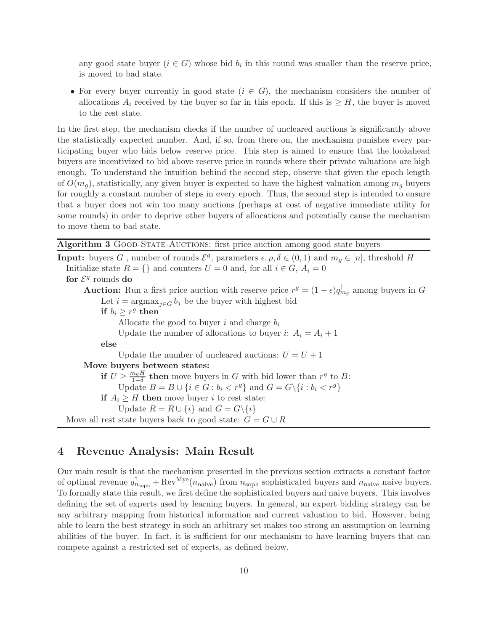any good state buyer  $(i \in G)$  whose bid  $b_i$  in this round was smaller than the reserve price, is moved to bad state.

• For every buyer currently in good state  $(i \in G)$ , the mechanism considers the number of allocations  $A_i$  received by the buyer so far in this epoch. If this is  $\geq H$ , the buyer is moved to the rest state.

In the first step, the mechanism checks if the number of uncleared auctions is significantly above the statistically expected number. And, if so, from there on, the mechanism punishes every participating buyer who bids below reserve price. This step is aimed to ensure that the lookahead buyers are incentivized to bid above reserve price in rounds where their private valuations are high enough. To understand the intuition behind the second step, observe that given the epoch length of  $O(m_q)$ , statistically, any given buyer is expected to have the highest valuation among  $m_q$  buyers for roughly a constant number of steps in every epoch. Thus, the second step is intended to ensure that a buyer does not win too many auctions (perhaps at cost of negative immediate utility for some rounds) in order to deprive other buyers of allocations and potentially cause the mechanism to move them to bad state.

| Algorithm 3 GOOD-STATE-AUCTIONS: first price auction among good state buyers |  |  |
|------------------------------------------------------------------------------|--|--|

**Input:** buyers G, number of rounds  $\mathcal{E}^g$ , parameters  $\epsilon, \rho, \delta \in (0, 1)$  and  $m_g \in [n]$ , threshold H Initialize state  $R = \{\}$  and counters  $U = 0$  and, for all  $i \in G$ ,  $A_i = 0$ for  $\mathcal{E}^g$  rounds do **Auction:** Run a first price auction with reserve price  $r^g = (1 - \epsilon) q_{m_g}^{\dagger}$  among buyers in G Let  $i = \arg \max_{j \in G} b_j$  be the buyer with highest bid if  $b_i \geq r^g$  then Allocate the good to buyer i and charge  $b_i$ Update the number of allocations to buyer i:  $A_i = A_i + 1$ else Update the number of uncleared auctions:  $U = U + 1$ Move buyers between states: if  $U \geq \frac{m_g H}{1-\delta}$  $\frac{n_g H}{1-\delta}$  then move buyers in G with bid lower than  $r^g$  to B: Update  $B = B \cup \{i \in G : b_i < r^g\}$  and  $G = G \setminus \{i : b_i < r^g\}$ if  $A_i \geq H$  then move buyer i to rest state: Update  $R = R \cup \{i\}$  and  $G = G \setminus \{i\}$ Move all rest state buyers back to good state:  $G = G \cup R$ 

# <span id="page-9-0"></span>4 Revenue Analysis: Main Result

Our main result is that the mechanism presented in the previous section extracts a constant factor of optimal revenue  $q_{n_{\text{soph}}}^{\dagger} + \text{Rev}^{\text{Mye}}(n_{\text{naive}})$  from  $n_{\text{soph}}$  sophisticated buyers and  $n_{\text{naive}}$  naive buyers. To formally state this result, we first define the sophisticated buyers and naive buyers. This involves defining the set of experts used by learning buyers. In general, an expert bidding strategy can be any arbitrary mapping from historical information and current valuation to bid. However, being able to learn the best strategy in such an arbitrary set makes too strong an assumption on learning abilities of the buyer. In fact, it is sufficient for our mechanism to have learning buyers that can compete against a restricted set of experts, as defined below.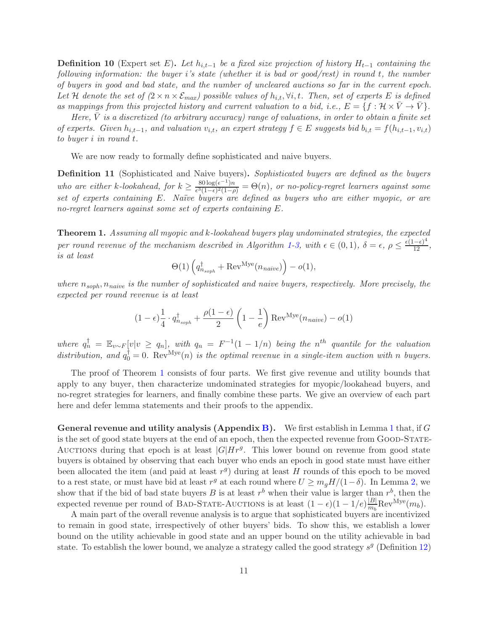<span id="page-10-1"></span>**Definition 10** (Expert set E). Let  $h_{i,t-1}$  be a fixed size projection of history  $H_{t-1}$  containing the following information: the buyer i's state (whether it is bad or good/rest) in round t, the number of buyers in good and bad state, and the number of uncleared auctions so far in the current epoch. Let H denote the set of  $(2 \times n \times \mathcal{E}_{max})$  possible values of  $h_{i,t}$ ,  $\forall i, t$ . Then, set of experts E is defined as mappings from this projected history and current valuation to a bid, i.e.,  $E = \{f : \mathcal{H} \times V \to V\}$ .

Here,  $\overline{V}$  is a discretized (to arbitrary accuracy) range of valuations, in order to obtain a finite set of experts. Given  $h_{i,t-1}$ , and valuation  $v_{i,t}$ , an expert strategy  $f \in E$  suggests bid  $b_{i,t} = f(h_{i,t-1}, v_{i,t})$ to buyer i in round t.

We are now ready to formally define sophisticated and naive buyers.

**Definition 11** (Sophisticated and Naive buyers). Sophisticated buyers are defined as the buyers who are either k-lookahead, for  $k \geq \frac{80 \log(\epsilon^{-1})n}{\epsilon^3(1-\epsilon)^2(1-\epsilon)}$  $\frac{\partial \phi_{\text{log}(k)}(n)}{\partial \phi_{\text{log}(1-\epsilon)}(1-\rho)} = \Theta(n)$ , or no-policy-regret learners against some set of experts containing E. Naïve buyers are defined as buyers who are either myopic, or are no-regret learners against some set of experts containing E.

<span id="page-10-0"></span>Theorem 1. Assuming all myopic and k-lookahead buyers play undominated strategies, the expected per round revenue of the mechanism described in Algorithm [1-](#page-8-0)[3,](#page-9-0) with  $\epsilon \in (0,1)$ ,  $\delta = \epsilon$ ,  $\rho \leq \frac{\epsilon(1-\epsilon)^4}{12}$ , is at least

$$
\Theta(1)\left(q_{n_{soph}}^\dagger + {\rm Rev}^{\rm Mye}(n_{naive})\right) - o(1),
$$

where  $n_{soph}$ ,  $n_{naive}$  is the number of sophisticated and naive buyers, respectively. More precisely, the expected per round revenue is at least

$$
(1 - \epsilon) \frac{1}{4} \cdot q_{n_{soph}}^{\dagger} + \frac{\rho(1 - \epsilon)}{2} \left(1 - \frac{1}{e}\right) \text{Rev}^{\text{Mye}}(n_{naive}) - o(1)
$$

where  $q_n^{\dagger} = \mathbb{E}_{v \sim F}[v|v \ge q_n]$ , with  $q_n = F^{-1}(1 - 1/n)$  being the n<sup>th</sup> quantile for the valuation distribution, and  $q_0^{\dagger} = 0$ . Rev<sup>Mye</sup>(n) is the optimal revenue in a single-item auction with n buyers.

The proof of Theorem [1](#page-10-0) consists of four parts. We first give revenue and utility bounds that apply to any buyer, then characterize undominated strategies for myopic/lookahead buyers, and no-regret strategies for learners, and finally combine these parts. We give an overview of each part here and defer lemma statements and their proofs to the appendix.

**General revenue and utility analysis (Appendix [B\)](#page-15-1).** We first establish in Lemma [1](#page-16-0) that, if G is the set of good state buyers at the end of an epoch, then the expected revenue from GOOD-STATE-AUCTIONS during that epoch is at least  $|G|Hr<sup>g</sup>$ . This lower bound on revenue from good state buyers is obtained by observing that each buyer who ends an epoch in good state must have either been allocated the item (and paid at least  $r<sup>g</sup>$ ) during at least H rounds of this epoch to be moved to a rest state, or must have bid at least  $r^g$  at each round where  $U \geq m_g H/(1-\delta)$ . In Lemma [2,](#page-16-1) we show that if the bid of bad state buyers B is at least  $r<sup>b</sup>$  when their value is larger than  $r<sup>b</sup>$ , then the expected revenue per round of BAD-STATE-AUCTIONS is at least  $(1 - \epsilon)(1 - 1/e)\frac{|B|}{m_b}$  $\frac{|B|}{m_b} \text{Rev}^{\text{Mye}}(m_b).$ 

A main part of the overall revenue analysis is to argue that sophisticated buyers are incentivized to remain in good state, irrespectively of other buyers' bids. To show this, we establish a lower bound on the utility achievable in good state and an upper bound on the utility achievable in bad state. To establish the lower bound, we analyze a strategy called the good strategy  $s<sup>g</sup>$  (Definition [12\)](#page-17-0)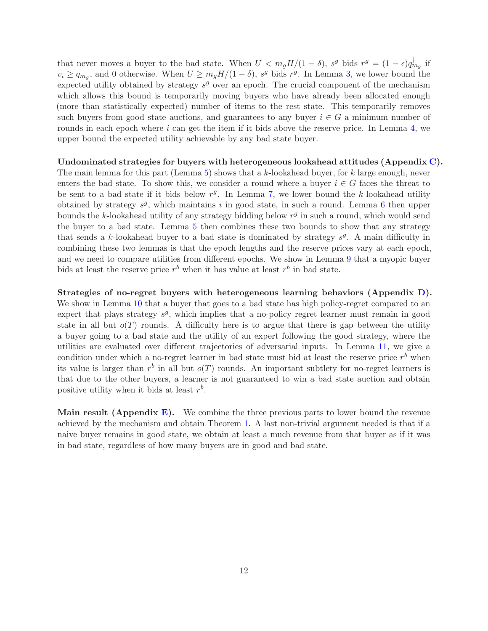that never moves a buyer to the bad state. When  $U < m_g H/(1 - \delta)$ ,  $s^g$  bids  $r^g = (1 - \epsilon) q_{m_g}^{\dagger}$  if  $v_i \ge q_{m_g}$ , and 0 otherwise. When  $U \ge m_g H/(1-\delta)$ ,  $s^g$  bids  $r^g$ . In Lemma [3,](#page-17-1) we lower bound the expected utility obtained by strategy  $s<sup>g</sup>$  over an epoch. The crucial component of the mechanism which allows this bound is temporarily moving buyers who have already been allocated enough (more than statistically expected) number of items to the rest state. This temporarily removes such buyers from good state auctions, and guarantees to any buyer  $i \in G$  a minimum number of rounds in each epoch where i can get the item if it bids above the reserve price. In Lemma [4,](#page-17-2) we upper bound the expected utility achievable by any bad state buyer.

### Undominated strategies for buyers with heterogeneous lookahead attitudes (Appendix [C\)](#page-18-0).

The main lemma for this part (Lemma [5\)](#page-18-1) shows that a k-lookahead buyer, for k large enough, never enters the bad state. To show this, we consider a round where a buyer  $i \in G$  faces the threat to be sent to a bad state if it bids below  $r<sup>g</sup>$ . In Lemma [7,](#page-19-0) we lower bound the k-lookahead utility obtained by strategy  $s^g$ , which maintains i in good state, in such a round. Lemma [6](#page-19-1) then upper bounds the k-lookahead utility of any strategy bidding below  $r<sup>g</sup>$  in such a round, which would send the buyer to a bad state. Lemma [5](#page-18-1) then combines these two bounds to show that any strategy that sends a k-lookahead buyer to a bad state is dominated by strategy  $s<sup>g</sup>$ . A main difficulty in combining these two lemmas is that the epoch lengths and the reserve prices vary at each epoch, and we need to compare utilities from different epochs. We show in Lemma [9](#page-21-0) that a myopic buyer bids at least the reserve price  $r^b$  when it has value at least  $r^b$  in bad state.

Strategies of no-regret buyers with heterogeneous learning behaviors (Appendix [D\)](#page-21-1). We show in Lemma [10](#page-21-2) that a buyer that goes to a bad state has high policy-regret compared to an expert that plays strategy  $s<sup>g</sup>$ , which implies that a no-policy regret learner must remain in good state in all but  $o(T)$  rounds. A difficulty here is to argue that there is gap between the utility a buyer going to a bad state and the utility of an expert following the good strategy, where the utilities are evaluated over different trajectories of adversarial inputs. In Lemma [11,](#page-22-0) we give a condition under which a no-regret learner in bad state must bid at least the reserve price  $r<sup>b</sup>$  when its value is larger than  $r^b$  in all but  $o(T)$  rounds. An important subtlety for no-regret learners is that due to the other buyers, a learner is not guaranteed to win a bad state auction and obtain positive utility when it bids at least  $r^b$ .

**Main result (Appendix [E\)](#page-23-0).** We combine the three previous parts to lower bound the revenue achieved by the mechanism and obtain Theorem [1.](#page-10-0) A last non-trivial argument needed is that if a naive buyer remains in good state, we obtain at least a much revenue from that buyer as if it was in bad state, regardless of how many buyers are in good and bad state.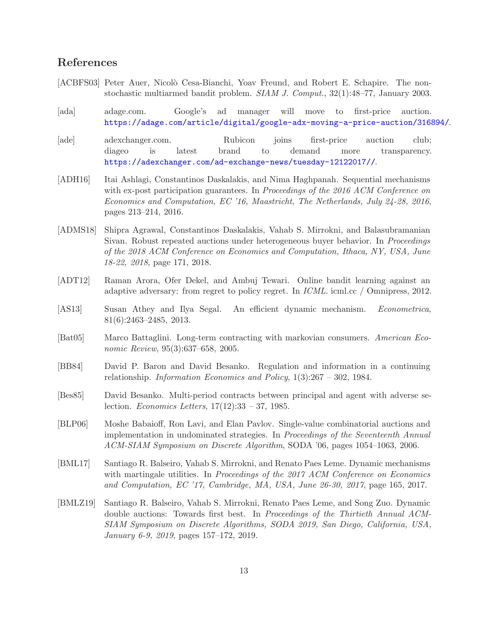## References

- <span id="page-12-11"></span>[ACBFS03] Peter Auer, Nicolò Cesa-Bianchi, Yoav Freund, and Robert E. Schapire. The nonstochastic multiarmed bandit problem. SIAM J. Comput., 32(1):48–77, January 2003.
- <span id="page-12-4"></span>[ada] adage.com. Google's ad manager will move to first-price auction. <https://adage.com/article/digital/google-adx-moving-a-price-auction/316894/>.
- <span id="page-12-5"></span>[ade] adexchanger.com. Rubicon joins first-price auction club; diageo is latest brand to demand more transparency. <https://adexchanger.com/ad-exchange-news/tuesday-12122017//>.
- <span id="page-12-0"></span>[ADH16] Itai Ashlagi, Constantinos Daskalakis, and Nima Haghpanah. Sequential mechanisms with ex-post participation guarantees. In Proceedings of the 2016 ACM Conference on Economics and Computation, EC '16, Maastricht, The Netherlands, July 24-28, 2016, pages 213–214, 2016.
- <span id="page-12-2"></span>[ADMS18] Shipra Agrawal, Constantinos Daskalakis, Vahab S. Mirrokni, and Balasubramanian Sivan. Robust repeated auctions under heterogeneous buyer behavior. In Proceedings of the 2018 ACM Conference on Economics and Computation, Ithaca, NY, USA, June 18-22, 2018, page 171, 2018.
- <span id="page-12-12"></span>[ADT12] Raman Arora, Ofer Dekel, and Ambuj Tewari. Online bandit learning against an adaptive adversary: from regret to policy regret. In ICML. icml.cc / Omnipress, 2012.
- <span id="page-12-10"></span>[AS13] Susan Athey and Ilya Segal. An efficient dynamic mechanism. Econometrica, 81(6):2463–2485, 2013.
- <span id="page-12-9"></span>[Bat05] Marco Battaglini. Long-term contracting with markovian consumers. American Economic Review, 95(3):637–658, 2005.
- <span id="page-12-7"></span>[BB84] David P. Baron and David Besanko. Regulation and information in a continuing relationship. Information Economics and Policy,  $1(3):267 - 302$ , 1984.
- <span id="page-12-8"></span>[Bes85] David Besanko. Multi-period contracts between principal and agent with adverse selection. Economics Letters,  $17(12):33 - 37$ , 1985.
- <span id="page-12-6"></span>[BLP06] Moshe Babaioff, Ron Lavi, and Elan Pavlov. Single-value combinatorial auctions and implementation in undominated strategies. In Proceedings of the Seventeenth Annual ACM-SIAM Symposium on Discrete Algorithm, SODA '06, pages 1054–1063, 2006.
- <span id="page-12-1"></span>[BML17] Santiago R. Balseiro, Vahab S. Mirrokni, and Renato Paes Leme. Dynamic mechanisms with martingale utilities. In *Proceedings of the 2017 ACM Conference on Economics* and Computation, EC '17, Cambridge, MA, USA, June 26-30, 2017, page 165, 2017.
- <span id="page-12-3"></span>[BMLZ19] Santiago R. Balseiro, Vahab S. Mirrokni, Renato Paes Leme, and Song Zuo. Dynamic double auctions: Towards first best. In Proceedings of the Thirtieth Annual ACM-SIAM Symposium on Discrete Algorithms, SODA 2019, San Diego, California, USA, January 6-9, 2019, pages 157–172, 2019.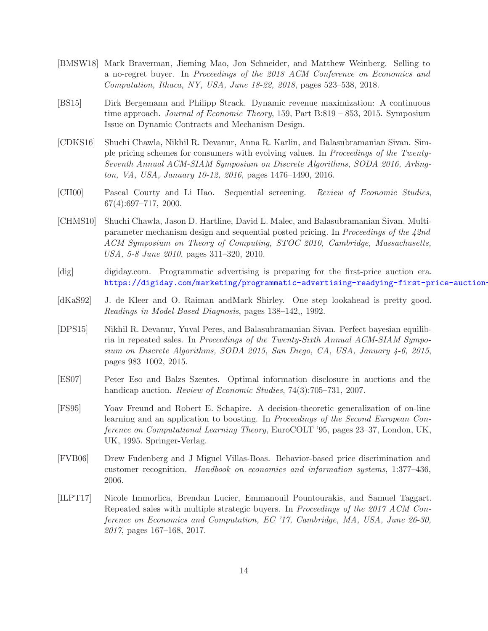- <span id="page-13-0"></span>[BMSW18] Mark Braverman, Jieming Mao, Jon Schneider, and Matthew Weinberg. Selling to a no-regret buyer. In Proceedings of the 2018 ACM Conference on Economics and Computation, Ithaca, NY, USA, June 18-22, 2018, pages 523–538, 2018.
- <span id="page-13-4"></span>[BS15] Dirk Bergemann and Philipp Strack. Dynamic revenue maximization: A continuous time approach. Journal of Economic Theory, 159, Part B:819 – 853, 2015. Symposium Issue on Dynamic Contracts and Mechanism Design.
- <span id="page-13-5"></span>[CDKS16] Shuchi Chawla, Nikhil R. Devanur, Anna R. Karlin, and Balasubramanian Sivan. Simple pricing schemes for consumers with evolving values. In Proceedings of the Twenty-Seventh Annual ACM-SIAM Symposium on Discrete Algorithms, SODA 2016, Arlington, VA, USA, January 10-12, 2016, pages 1476–1490, 2016.
- <span id="page-13-2"></span>[CH00] Pascal Courty and Li Hao. Sequential screening. Review of Economic Studies, 67(4):697–717, 2000.
- <span id="page-13-11"></span>[CHMS10] Shuchi Chawla, Jason D. Hartline, David L. Malec, and Balasubramanian Sivan. Multiparameter mechanism design and sequential posted pricing. In Proceedings of the 42nd ACM Symposium on Theory of Computing, STOC 2010, Cambridge, Massachusetts, USA, 5-8 June 2010, pages 311–320, 2010.
- <span id="page-13-1"></span>[dig] digiday.com. Programmatic advertising is preparing for the first-price auction era. https://digiday.com/marketing/programmatic-advertising-readying-first-price-auction-
- <span id="page-13-9"></span>[dKaS92] J. de Kleer and O. Raiman andMark Shirley. One step lookahead is pretty good. Readings in Model-Based Diagnosis, pages 138–142,, 1992.
- <span id="page-13-7"></span>[DPS15] Nikhil R. Devanur, Yuval Peres, and Balasubramanian Sivan. Perfect bayesian equilibria in repeated sales. In Proceedings of the Twenty-Sixth Annual ACM-SIAM Symposium on Discrete Algorithms, SODA 2015, San Diego, CA, USA, January 4-6, 2015, pages 983–1002, 2015.
- <span id="page-13-3"></span>[ES07] Peter Eso and Balzs Szentes. Optimal information disclosure in auctions and the handicap auction. *Review of Economic Studies*, 74(3):705–731, 2007.
- <span id="page-13-10"></span>[FS95] Yoav Freund and Robert E. Schapire. A decision-theoretic generalization of on-line learning and an application to boosting. In Proceedings of the Second European Conference on Computational Learning Theory, EuroCOLT '95, pages 23–37, London, UK, UK, 1995. Springer-Verlag.
- <span id="page-13-6"></span>[FVB06] Drew Fudenberg and J Miguel Villas-Boas. Behavior-based price discrimination and customer recognition. Handbook on economics and information systems, 1:377–436, 2006.
- <span id="page-13-8"></span>[ILPT17] Nicole Immorlica, Brendan Lucier, Emmanouil Pountourakis, and Samuel Taggart. Repeated sales with multiple strategic buyers. In Proceedings of the 2017 ACM Conference on Economics and Computation, EC '17, Cambridge, MA, USA, June 26-30, 2017, pages 167–168, 2017.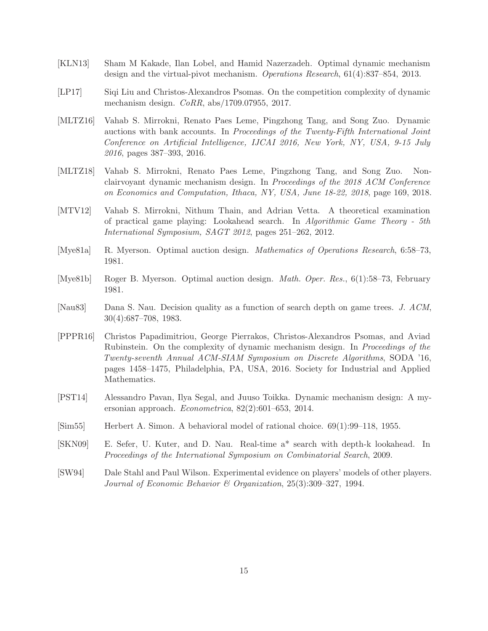- <span id="page-14-5"></span>[KLN13] Sham M Kakade, Ilan Lobel, and Hamid Nazerzadeh. Optimal dynamic mechanism design and the virtual-pivot mechanism. Operations Research, 61(4):837–854, 2013.
- <span id="page-14-2"></span>[LP17] Siqi Liu and Christos-Alexandros Psomas. On the competition complexity of dynamic mechanism design. CoRR, abs/1709.07955, 2017.
- <span id="page-14-1"></span>[MLTZ16] Vahab S. Mirrokni, Renato Paes Leme, Pingzhong Tang, and Song Zuo. Dynamic auctions with bank accounts. In Proceedings of the Twenty-Fifth International Joint Conference on Artificial Intelligence, IJCAI 2016, New York, NY, USA, 9-15 July 2016, pages 387–393, 2016.
- <span id="page-14-3"></span>[MLTZ18] Vahab S. Mirrokni, Renato Paes Leme, Pingzhong Tang, and Song Zuo. Nonclairvoyant dynamic mechanism design. In Proceedings of the 2018 ACM Conference on Economics and Computation, Ithaca, NY, USA, June 18-22, 2018, page 169, 2018.
- <span id="page-14-11"></span>[MTV12] Vahab S. Mirrokni, Nithum Thain, and Adrian Vetta. A theoretical examination of practical game playing: Lookahead search. In Algorithmic Game Theory - 5th International Symposium, SAGT 2012, pages 251–262, 2012.
- <span id="page-14-4"></span>[Mye81a] R. Myerson. Optimal auction design. Mathematics of Operations Research, 6:58–73, 1981.
- <span id="page-14-12"></span>[Mye81b] Roger B. Myerson. Optimal auction design. Math. Oper. Res., 6(1):58–73, February 1981.
- <span id="page-14-8"></span>[Nau83] Dana S. Nau. Decision quality as a function of search depth on game trees. J. ACM, 30(4):687–708, 1983.
- <span id="page-14-0"></span>[PPPR16] Christos Papadimitriou, George Pierrakos, Christos-Alexandros Psomas, and Aviad Rubinstein. On the complexity of dynamic mechanism design. In Proceedings of the Twenty-seventh Annual ACM-SIAM Symposium on Discrete Algorithms, SODA '16, pages 1458–1475, Philadelphia, PA, USA, 2016. Society for Industrial and Applied Mathematics.
- <span id="page-14-6"></span>[PST14] Alessandro Pavan, Ilya Segal, and Juuso Toikka. Dynamic mechanism design: A myersonian approach. Econometrica, 82(2):601–653, 2014.
- <span id="page-14-7"></span>[Sim55] Herbert A. Simon. A behavioral model of rational choice. 69(1):99–118, 1955.
- <span id="page-14-9"></span>[SKN09] E. Sefer, U. Kuter, and D. Nau. Real-time a\* search with depth-k lookahead. In Proceedings of the International Symposium on Combinatorial Search, 2009.
- <span id="page-14-10"></span>[SW94] Dale Stahl and Paul Wilson. Experimental evidence on players' models of other players. Journal of Economic Behavior & Organization, 25(3):309–327, 1994.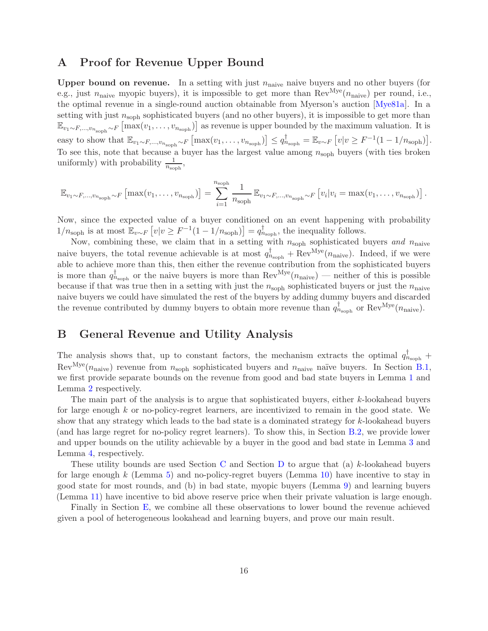## <span id="page-15-0"></span>A Proof for Revenue Upper Bound

**Upper bound on revenue.** In a setting with just  $n_{\text{naive}}$  naive buyers and no other buyers (for e.g., just  $n_{\text{naive}}$  myopic buyers), it is impossible to get more than  $\text{Rev}^{\text{Mye}}(n_{\text{naive}})$  per round, i.e., the optimal revenue in a single-round auction obtainable from Myerson's auction [\[Mye81a\]](#page-14-4). In a setting with just  $n_{\rm{soph}}$  sophisticated buyers (and no other buyers), it is impossible to get more than  $\mathbb{E}_{v_1 \sim F, ..., v_{n_{\text{soph}}}} \sim F \left[ \max(v_1, \ldots, v_{n_{\text{soph}}} ) \right]$  as revenue is upper bounded by the maximum valuation. It is easy to show that  $\mathbb{E}_{v_1 \sim F, ..., v_{n_{\text{soph}} \sim F}} \left[ \max(v_1, ..., v_{n_{\text{soph}}} \right] \leq q_{n_{\text{soph}}}^{\dagger} = \mathbb{E}_{v \sim F} \left[ v \mid v \geq F^{-1}(1 - 1/n_{\text{soph}}) \right]$ . To see this, note that because a buyer has the largest value among  $n_{\rm soph}$  buyers (with ties broken uniformly) with probability  $\frac{1}{n_{\text{soph}}},$ 

$$
\mathbb{E}_{v_1 \sim F, \dots, v_{n_{\text{soph}}}} \sim F \left[ \max(v_1, \dots, v_{n_{\text{soph}}} ) \right] = \sum_{i=1}^{n_{\text{soph}}} \frac{1}{n_{\text{soph}}} \mathbb{E}_{v_1 \sim F, \dots, v_{n_{\text{soph}}} \sim F} \left[ v_i | v_i = \max(v_1, \dots, v_{n_{\text{soph}}} ) \right].
$$

Now, since the expected value of a buyer conditioned on an event happening with probability  $1/n_{\text{soph}}$  is at most  $\mathbb{E}_{v \sim F} \left[ v \middle| v \geq F^{-1}(1 - 1/n_{\text{soph}}) \right] = q_{n_{\text{soph}}}^{\dagger}$ , the inequality follows.

Now, combining these, we claim that in a setting with  $n_{\rm soph}$  sophisticated buyers and  $n_{\rm naive}$ naive buyers, the total revenue achievable is at most  $q_{n_{\text{soph}}}^{\dagger} + \text{Rev}^{Mye}(n_{\text{naive}})$ . Indeed, if we were able to achieve more than this, then either the revenue contribution from the sophisticated buyers is more than  $q_{n_{\text{soph}}}^{\dagger}$  or the naive buyers is more than  $\text{Rev}^{\text{Mye}}(n_{\text{naive}})$  — neither of this is possible because if that was true then in a setting with just the  $n_{\rm sonh}$  sophisticated buyers or just the  $n_{\rm naive}$ naive buyers we could have simulated the rest of the buyers by adding dummy buyers and discarded the revenue contributed by dummy buyers to obtain more revenue than  $q_{n_{\text{soph}}}^{\dagger}$  or  $\text{Rev}^{Mye}(n_{\text{naive}})$ .

## <span id="page-15-1"></span>B General Revenue and Utility Analysis

The analysis shows that, up to constant factors, the mechanism extracts the optimal  $q_{n_{\text{soph}}}^{\dagger}$  + Rev<sup>Mye</sup>( $n_{\text{naive}}$ ) revenue from  $n_{\text{soph}}$  sophisticated buyers and  $n_{\text{naive}}$  naïve buyers. In Section [B.1,](#page-16-2) we first provide separate bounds on the revenue from good and bad state buyers in Lemma [1](#page-16-0) and Lemma [2](#page-16-1) respectively.

The main part of the analysis is to argue that sophisticated buyers, either k-lookahead buyers for large enough  $k$  or no-policy-regret learners, are incentivized to remain in the good state. We show that any strategy which leads to the bad state is a dominated strategy for  $k$ -lookahead buyers (and has large regret for no-policy regret learners). To show this, in Section [B.2,](#page-16-3) we provide lower and upper bounds on the utility achievable by a buyer in the good and bad state in Lemma [3](#page-17-1) and Lemma [4,](#page-17-2) respectively.

These utility bounds are used Section [C](#page-18-0) and Section [D](#page-21-1) to argue that (a)  $k$ -lookahead buyers for large enough  $k$  (Lemma [5\)](#page-18-1) and no-policy-regret buyers (Lemma [10\)](#page-21-2) have incentive to stay in good state for most rounds, and (b) in bad state, myopic buyers (Lemma [9\)](#page-21-0) and learning buyers (Lemma [11\)](#page-22-0) have incentive to bid above reserve price when their private valuation is large enough.

Finally in Section [E,](#page-23-0) we combine all these observations to lower bound the revenue achieved given a pool of heterogeneous lookahead and learning buyers, and prove our main result.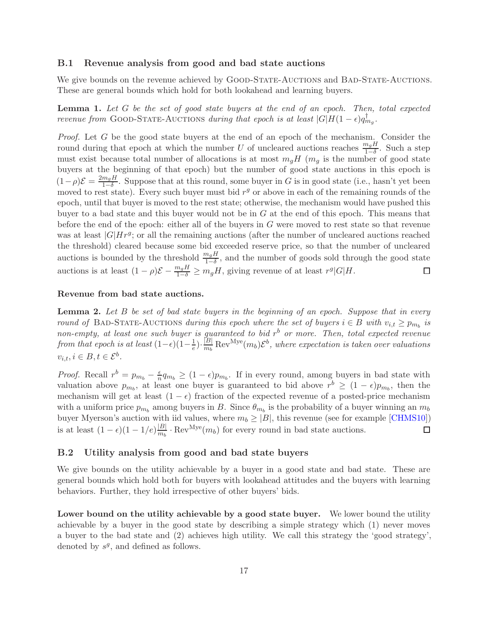### <span id="page-16-2"></span>B.1 Revenue analysis from good and bad state auctions

We give bounds on the revenue achieved by GOOD-STATE-AUCTIONS and BAD-STATE-AUCTIONS. These are general bounds which hold for both lookahead and learning buyers.

<span id="page-16-0"></span>Lemma 1. Let G be the set of good state buyers at the end of an epoch. Then, total expected revenue from GOOD-STATE-AUCTIONS during that epoch is at least  $|G|H(1-\epsilon)q_{mg}^{\dagger}$ .

Proof. Let G be the good state buyers at the end of an epoch of the mechanism. Consider the round during that epoch at which the number U of uncleared auctions reaches  $\frac{m_g H}{1-\delta}$ . Such a step must exist because total number of allocations is at most  $m_gH$  ( $m_g$  is the number of good state buyers at the beginning of that epoch) but the number of good state auctions in this epoch is  $(1-\rho)\mathcal{E} = \frac{2m_gH}{1-\delta}$  $\frac{m_g H}{1-\delta}$ . Suppose that at this round, some buyer in G is in good state (i.e., hasn't yet been moved to rest state). Every such buyer must bid  $r<sup>g</sup>$  or above in each of the remaining rounds of the epoch, until that buyer is moved to the rest state; otherwise, the mechanism would have pushed this buyer to a bad state and this buyer would not be in G at the end of this epoch. This means that before the end of the epoch: either all of the buyers in  $G$  were moved to rest state so that revenue was at least  $|G|Hr<sup>g</sup>$ ; or all the remaining auctions (after the number of uncleared auctions reached the threshold) cleared because some bid exceeded reserve price, so that the number of uncleared auctions is bounded by the threshold  $\frac{m_g H}{1-\delta}$ , and the number of goods sold through the good state auctions is at least  $(1 - \rho)\mathcal{E} - \frac{m_g H}{1 - \delta} \geq m_g H$ , giving revenue of at least  $r^g |G|H$ .  $\Box$ 

### Revenue from bad state auctions.

<span id="page-16-1"></span>**Lemma 2.** Let  $B$  be set of bad state buyers in the beginning of an epoch. Suppose that in every round of BAD-STATE-AUCTIONS during this epoch where the set of buyers  $i \in B$  with  $v_{i,t} \geq p_{m_b}$  is non-empty, at least one such buyer is guaranteed to bid  $r<sup>b</sup>$  or more. Then, total expected revenue from that epoch is at least  $(1-\epsilon)(1-\frac{1}{e})$  $(\frac{1}{e})\cdot\frac{|B|}{m_b}$  $\frac{|B|}{m_b}\text{Rev}^{\text{Mye}}(m_b)\mathcal{E}^b$ , where expectation is taken over valuations  $v_{i,t}, i \in B, t \in \mathcal{E}^b$ .

*Proof.* Recall  $r^b = p_{m_b} - \frac{\epsilon}{n}$  $\frac{\epsilon}{n}q_{m_b} \geq (1-\epsilon)p_{m_b}$ . If in every round, among buyers in bad state with valuation above  $p_{m_b}$ , at least one buyer is guaranteed to bid above  $r^b \geq (1 - \epsilon)p_{m_b}$ , then the mechanism will get at least  $(1 - \epsilon)$  fraction of the expected revenue of a posted-price mechanism with a uniform price  $p_{m_b}$  among buyers in B. Since  $\theta_{m_b}$  is the probability of a buyer winning an  $m_b$ buyer Myerson's auction with iid values, where  $m_b \geq |B|$ , this revenue (see for example [\[CHMS10\]](#page-13-11)) is at least  $(1 - \epsilon)(1 - 1/e) \frac{|B|}{m_b}$  $\frac{|B|}{m_b} \cdot \text{Rev}^{\text{Mye}}(m_b)$  for every round in bad state auctions.  $\Box$ 

### <span id="page-16-3"></span>B.2 Utility analysis from good and bad state buyers

We give bounds on the utility achievable by a buyer in a good state and bad state. These are general bounds which hold both for buyers with lookahead attitudes and the buyers with learning behaviors. Further, they hold irrespective of other buyers' bids.

Lower bound on the utility achievable by a good state buyer. We lower bound the utility achievable by a buyer in the good state by describing a simple strategy which (1) never moves a buyer to the bad state and (2) achieves high utility. We call this strategy the 'good strategy', denoted by  $s^g$ , and defined as follows.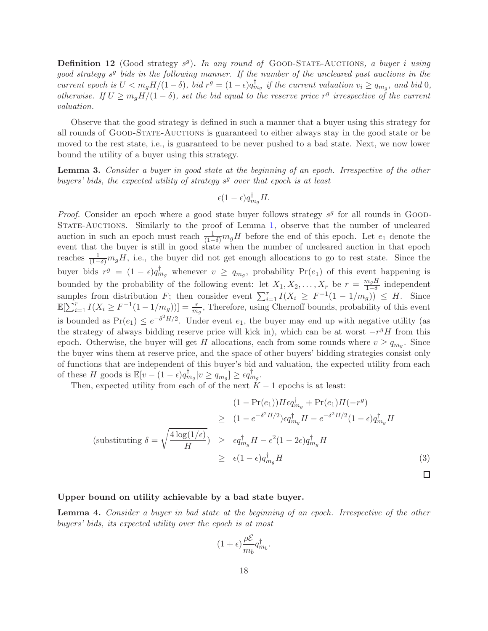<span id="page-17-0"></span>**Definition 12** (Good strategy  $s^g$ ). In any round of GOOD-STATE-AUCTIONS, a buyer i using good strategy  $s^g$  bids in the following manner. If the number of the uncleared past auctions in the current epoch is  $U < m_g H/(1 - \delta)$ , bid  $r^g = (1 - \epsilon) q_{m_g}^{\dagger}$  if the current valuation  $v_i \ge q_{m_g}$ , and bid 0, otherwise. If  $U \geq m_g H/(1-\delta)$ , set the bid equal to the reserve price  $r^g$  irrespective of the current valuation.

Observe that the good strategy is defined in such a manner that a buyer using this strategy for all rounds of GOOD-STATE-AUCTIONS is guaranteed to either always stay in the good state or be moved to the rest state, i.e., is guaranteed to be never pushed to a bad state. Next, we now lower bound the utility of a buyer using this strategy.

<span id="page-17-1"></span>Lemma 3. Consider a buyer in good state at the beginning of an epoch. Irrespective of the other buyers' bids, the expected utility of strategy  $s<sup>g</sup>$  over that epoch is at least

$$
\epsilon (1 - \epsilon) q_{m_g}^{\dagger} H.
$$

*Proof.* Consider an epoch where a good state buyer follows strategy  $s<sup>g</sup>$  for all rounds in GOOD-State-Auctions. Similarly to the proof of Lemma [1,](#page-16-0) observe that the number of uncleared auction in such an epoch must reach  $\frac{1}{(1-\delta)}m_gH$  before the end of this epoch. Let  $e_1$  denote the event that the buyer is still in good state when the number of uncleared auction in that epoch reaches  $\frac{1}{(1-\delta)}m_gH$ , i.e., the buyer did not get enough allocations to go to rest state. Since the buyer bids  $r^g = (1 - \epsilon) q_{m_g}^{\dagger}$  whenever  $v \ge q_{m_g}$ , probability  $Pr(e_1)$  of this event happening is bounded by the probability of the following event: let  $X_1, X_2, \ldots, X_r$  be  $r = \frac{m_g H}{1-\delta}$  $\frac{n_g n}{1-\delta}$  independent samples from distribution F; then consider event  $\sum_{i=1}^{r} I(X_i \geq F^{-1}(1-1/m_g)) \leq H$ . Since  $\mathbb{E}[\sum_{i=1}^r I(X_i \geq F^{-1}(1-1/m_g))] = \frac{r}{m_g}$ , Therefore, using Chernoff bounds, probability of this event is bounded as  $Pr(e_1) \leq e^{-\delta^2 H/2}$ . Under event  $e_1$ , the buyer may end up with negative utility (as the strategy of always bidding reserve price will kick in), which can be at worst  $-r<sup>g</sup>H$  from this epoch. Otherwise, the buyer will get H allocations, each from some rounds where  $v \ge q_{m_g}$ . Since the buyer wins them at reserve price, and the space of other buyers' bidding strategies consist only of functions that are independent of this buyer's bid and valuation, the expected utility from each of these H goods is  $\mathbb{E}[v - (1 - \epsilon)q_{m_g}^{\dagger}|v \ge q_{m_g}] \ge \epsilon q_{m_g}^{\dagger}$ .

Then, expected utility from each of of the next  $K - 1$  epochs is at least:

$$
(1 - \Pr(e_1))H\epsilon q_{m_g}^{\dagger} + \Pr(e_1)H(-r^g)
$$
  
\n
$$
\geq (1 - e^{-\delta^2 H/2})\epsilon q_{m_g}^{\dagger}H - e^{-\delta^2 H/2}(1 - \epsilon)q_{m_g}^{\dagger}H
$$
  
\n(substituting  $\delta = \sqrt{\frac{4\log(1/\epsilon)}{H}}$ )  
\n
$$
\geq \epsilon q_{m_g}^{\dagger}H - \epsilon^2(1 - 2\epsilon)q_{m_g}^{\dagger}H
$$
  
\n
$$
\geq \epsilon (1 - \epsilon)q_{m_g}^{\dagger}H
$$
\n(3)

 $\Box$ 

### Upper bound on utility achievable by a bad state buyer.

<span id="page-17-2"></span>Lemma 4. Consider a buyer in bad state at the beginning of an epoch. Irrespective of the other buyers' bids, its expected utility over the epoch is at most

$$
(1+\epsilon)\frac{\rho \mathcal{E}}{m_b}q_{m_b}^{\dagger}.
$$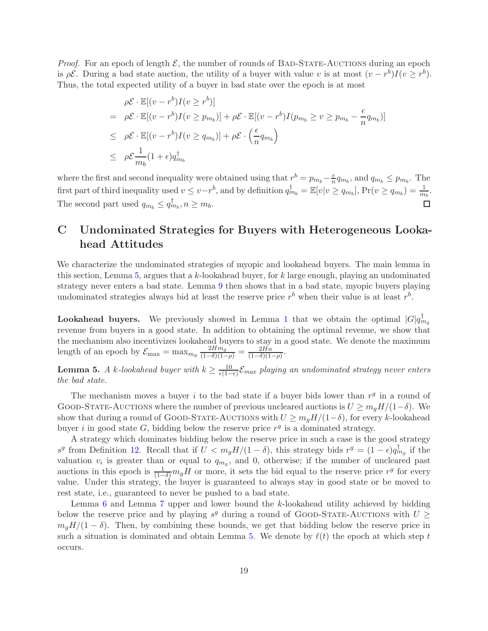*Proof.* For an epoch of length  $\mathcal{E}$ , the number of rounds of BAD-STATE-AUCTIONS during an epoch is  $\rho \mathcal{E}$ . During a bad state auction, the utility of a buyer with value v is at most  $(v - r^b)I(v \ge r^b)$ . Thus, the total expected utility of a buyer in bad state over the epoch is at most

$$
\rho \mathcal{E} \cdot \mathbb{E}[(v - r^b)I(v \ge r^b)]
$$
\n
$$
= \rho \mathcal{E} \cdot \mathbb{E}[(v - r^b)I(v \ge p_{m_b})] + \rho \mathcal{E} \cdot \mathbb{E}[(v - r^b)I(p_{m_b} \ge v \ge p_{m_b} - \frac{\epsilon}{n}q_{m_b})]
$$
\n
$$
\le \rho \mathcal{E} \cdot \mathbb{E}[(v - r^b)I(v \ge q_{m_b})] + \rho \mathcal{E} \cdot \left(\frac{\epsilon}{n}q_{m_b}\right)
$$
\n
$$
\le \rho \mathcal{E} \frac{1}{m_b}(1 + \epsilon)q_{m_b}^{\dagger}
$$

where the first and second inequality were obtained using that  $r^b = p_{m_b} - \frac{\epsilon}{n}$  $\frac{\epsilon}{n}q_{m_b}$ , and  $q_{m_b} \leq p_{m_b}$ . The first part of third inequality used  $v \le v - r^b$ , and by definition  $q_{m_b}^{\dagger} = \mathbb{E}[v|v \ge q_{m_b}]$ ,  $Pr(v \ge q_{m_b}) = \frac{1}{m_b}$ . The second part used  $q_{m_b} \leq q_{m_b}^{\dagger}, n \geq m_b$ . П

# <span id="page-18-0"></span>C Undominated Strategies for Buyers with Heterogeneous Lookahead Attitudes

We characterize the undominated strategies of myopic and lookahead buyers. The main lemma in this section, Lemma [5,](#page-18-1) argues that a k-lookahead buyer, for  $k$  large enough, playing an undominated strategy never enters a bad state. Lemma [9](#page-21-0) then shows that in a bad state, myopic buyers playing undominated strategies always bid at least the reserve price  $r<sup>b</sup>$  when their value is at least  $r<sup>b</sup>$ .

**Lookahead buyers.** We previously showed in Lemma [1](#page-16-0) that we obtain the optimal  $|G|q_{mg}^{\dagger}$ revenue from buyers in a good state. In addition to obtaining the optimal revenue, we show that the mechanism also incentivizes lookahead buyers to stay in a good state. We denote the maximum length of an epoch by  $\mathcal{E}_{\text{max}} = \max_{m_g} \frac{2Hm_g}{(1-\delta)(1-\rho)} = \frac{2Hm_g}{(1-\delta)(1-\rho)}$  $\frac{2Hn}{(1-\delta)(1-\rho)}$ 

<span id="page-18-1"></span>**Lemma 5.** A k-lookahead buyer with  $k \geq \frac{10}{\epsilon(1-\epsilon)}$  $\frac{10}{\epsilon(1-\epsilon)}\mathcal{E}_{max}$  playing an undominated strategy never enters the bad state.

The mechanism moves a buyer i to the bad state if a buyer bids lower than  $r<sup>g</sup>$  in a round of GOOD-STATE-AUCTIONS where the number of previous uncleared auctions is  $U \geq m_g H/(1-\delta)$ . We show that during a round of GOOD-STATE-AUCTIONS with  $U \geq m_q H/(1-\delta)$ , for every k-lookahead buyer *i* in good state  $G$ , bidding below the reserve price  $r<sup>g</sup>$  is a dominated strategy.

A strategy which dominates bidding below the reserve price in such a case is the good strategy  $s^g$  from Definition [12.](#page-17-0) Recall that if  $U < m_g H/(1 - \delta)$ , this strategy bids  $r^g = (1 - \epsilon) q_{m_g}^{\dagger}$  if the valuation  $v_i$  is greater than or equal to  $q_{m_g}$ , and 0, otherwise; if the number of uncleared past auctions in this epoch is  $\frac{1}{(1-\delta)}mgH$  or more, it sets the bid equal to the reserve price  $r^g$  for every value. Under this strategy, the buyer is guaranteed to always stay in good state or be moved to rest state, i.e., guaranteed to never be pushed to a bad state.

Lemma [6](#page-19-1) and Lemma [7](#page-19-0) upper and lower bound the k-lookahead utility achieved by bidding below the reserve price and by playing  $s^g$  during a round of GOOD-STATE-AUCTIONS with  $U \geq$  $m_qH/(1-\delta)$ . Then, by combining these bounds, we get that bidding below the reserve price in such a situation is dominated and obtain Lemma [5.](#page-18-1) We denote by  $\ell(t)$  the epoch at which step t occurs.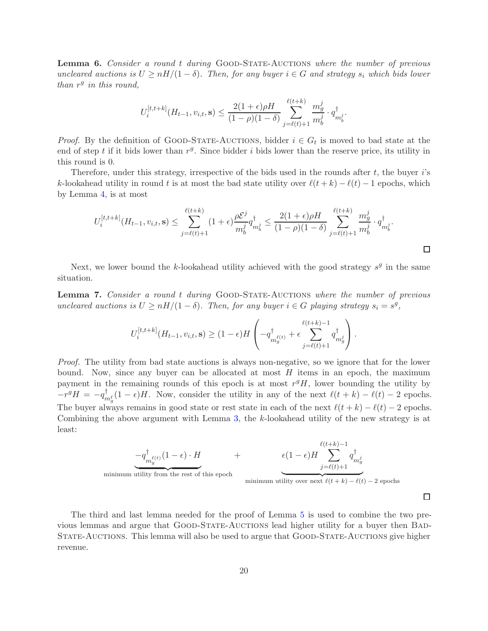<span id="page-19-1"></span>**Lemma 6.** Consider a round t during GOOD-STATE-AUCTIONS where the number of previous uncleared auctions is  $U \ge nH/(1-\delta)$ . Then, for any buyer  $i \in G$  and strategy  $s_i$  which bids lower than  $r^g$  in this round,

$$
U_i^{[t,t+k]}(H_{t-1}, v_{i,t}, \mathbf{s}) \le \frac{2(1+\epsilon)\rho H}{(1-\rho)(1-\delta)} \sum_{j=\ell(t)+1}^{\ell(t+k)} \frac{m_g^j}{m_b^j} \cdot q_{m_b^j}^{\dagger}.
$$

*Proof.* By the definition of GOOD-STATE-AUCTIONS, bidder  $i \in G_t$  is moved to bad state at the end of step t if it bids lower than  $r<sup>g</sup>$ . Since bidder i bids lower than the reserve price, its utility in this round is 0.

Therefore, under this strategy, irrespective of the bids used in the rounds after  $t$ , the buyer  $i$ 's k-lookahead utility in round t is at most the bad state utility over  $\ell(t+k) - \ell(t) - 1$  epochs, which by Lemma [4,](#page-17-2) is at most

$$
U_i^{[t,t+k]}(H_{t-1}, v_{i,t}, \mathbf{s}) \le \sum_{j=\ell(t)+1}^{\ell(t+k)} (1+\epsilon) \frac{\rho \mathcal{E}^j}{m_b^j} q_{m_b^j}^{\dagger} \le \frac{2(1+\epsilon)\rho H}{(1-\rho)(1-\delta)} \sum_{j=\ell(t)+1}^{\ell(t+k)} \frac{m_g^j}{m_b^j} \cdot q_{m_b^j}^{\dagger}.
$$

Next, we lower bound the k-lookahead utility achieved with the good strategy  $s<sup>g</sup>$  in the same situation.

<span id="page-19-0"></span>Lemma 7. Consider a round t during GOOD-STATE-AUCTIONS where the number of previous uncleared auctions is  $U \ge nH/(1-\delta)$ . Then, for any buyer  $i \in G$  playing strategy  $s_i = s^g$ ,

$$
U_i^{[t,t+k]}(H_{t-1}, v_{i,t}, \mathbf{s}) \ge (1 - \epsilon)H\left(-q_{m_g^{\ell(t)}}^{\dagger} + \epsilon \sum_{j=\ell(t)+1}^{\ell(t+k)-1} q_{m_g^j}^{\dagger}\right).
$$

Proof. The utility from bad state auctions is always non-negative, so we ignore that for the lower bound. Now, since any buyer can be allocated at most  $H$  items in an epoch, the maximum payment in the remaining rounds of this epoch is at most  $r^gH$ , lower bounding the utility by  $-r^gH = -q_n^{\dagger}$  $m_g^l(1-\epsilon)H$ . Now, consider the utility in any of the next  $\ell(t+k)-\ell(t)-2$  epochs. The buyer always remains in good state or rest state in each of the next  $\ell(t+k) - \ell(t) - 2$  epochs. Combining the above argument with Lemma [3,](#page-17-1) the k-lookahead utility of the new strategy is at least:

$$
-q_{m_g^{\ell}(t)}^{\dagger}(1-\epsilon) \cdot H + \epsilon(1-\epsilon)H \sum_{j=\ell(t)+1}^{\ell(t+k)-1} q_{m_g^j}^{\dagger}
$$
\nminimum utility from the rest of this epoch  
\nminimum utility over next  $\ell(t+k) - \ell(t) - 2$  epochs

 $\Box$ 

The third and last lemma needed for the proof of Lemma [5](#page-18-1) is used to combine the two previous lemmas and argue that GOOD-STATE-AUCTIONS lead higher utility for a buyer then BAD-STATE-AUCTIONS. This lemma will also be used to argue that GOOD-STATE-AUCTIONS give higher revenue.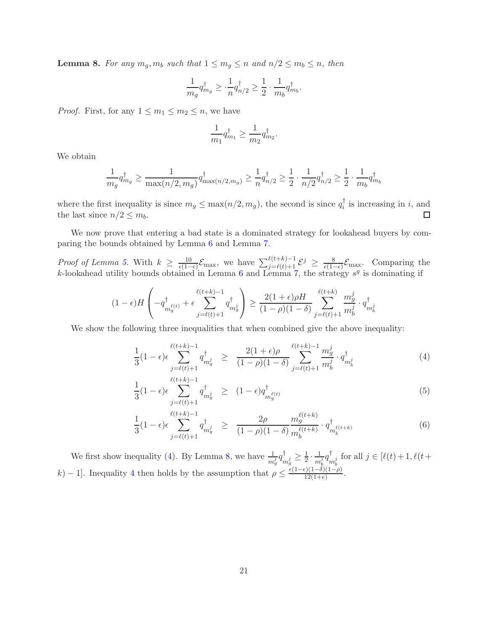<span id="page-20-1"></span>**Lemma 8.** For any  $m_g, m_b$  such that  $1 \le m_g \le n$  and  $n/2 \le m_b \le n$ , then

$$
\frac{1}{m_g}q_{m_g}^\dagger \geq \cdot \frac{1}{n}q_{n/2}^\dagger \geq \frac{1}{2}\cdot \frac{1}{m_b}q_{m_b}^\dagger.
$$

*Proof.* First, for any  $1 \le m_1 \le m_2 \le n$ , we have

$$
\frac{1}{m_1}q_{m_1}^\dagger \geq \frac{1}{m_2}q_{m_2}^\dagger.
$$

We obtain

$$
\frac{1}{m_g} q_{m_g}^{\dagger} \ge \frac{1}{\max(n/2, m_g)} q_{\max(n/2, m_g)}^{\dagger} \ge \frac{1}{n} q_{n/2}^{\dagger} \ge \frac{1}{2} \cdot \frac{1}{n/2} q_{n/2}^{\dagger} \ge \frac{1}{2} \cdot \frac{1}{m_b} q_{m_b}^{\dagger}
$$

where the first inequality is since  $m_g \leq \max(n/2, m_g)$ , the second is since  $q_i^{\dagger}$  $i_i$  is increasing in i, and the last since  $n/2 \leq m_b$ .  $\Box$ 

We now prove that entering a bad state is a dominated strategy for lookahead buyers by comparing the bounds obtained by Lemma [6](#page-19-1) and Lemma [7.](#page-19-0)

*Proof of Lemma [5.](#page-18-1)* With  $k \geq \frac{10}{\epsilon(1-\epsilon)}$  $\frac{10}{\epsilon(1-\epsilon)}\mathcal{E}_{\text{max}}$ , we have  $\sum_{j=\ell(t)+1}^{\ell(t+k)-1}\mathcal{E}^j \geq \frac{8}{\epsilon(1-\epsilon)}$  $\frac{8}{\epsilon(1-\epsilon)}\mathcal{E}_{\text{max}}$ . Comparing the k-lookahead utility bounds obtained in Lemma [6](#page-19-1) and Lemma [7,](#page-19-0) the strategy  $s^g$  is dominating if

$$
(1 - \epsilon)H\left(-q_{m_g^{\ell(t)}}^{\dagger} + \epsilon \sum_{j=\ell(t)+1}^{\ell(t+k)-1} q_{m_g^j}^{\dagger}\right) \ge \frac{2(1+\epsilon)\rho H}{(1-\rho)(1-\delta)} \sum_{j=\ell(t)+1}^{\ell(t+k)} \frac{m_g^j}{m_b^j} \cdot q_{m_b^j}^{\dagger}
$$

We show the following three inequalities that when combined give the above inequality:

<span id="page-20-0"></span>
$$
\frac{1}{3}(1-\epsilon)\epsilon \sum_{j=\ell(t)+1}^{\ell(t+k)-1} q_{m_g^j}^{\dagger} \geq \frac{2(1+\epsilon)\rho}{(1-\rho)(1-\delta)} \sum_{j=\ell(t)+1}^{\ell(t+k)-1} \frac{m_g^j}{m_b^j} \cdot q_{m_b^j}^{\dagger}
$$
(4)

$$
\frac{1}{3}(1-\epsilon)\epsilon \sum_{j=\ell(t)+1}^{\ell(t+k)-1} q_{m_g^j}^{\dagger} \ge (1-\epsilon) q_{m_g^{\ell(t)}}^{\dagger} \tag{5}
$$

$$
\frac{1}{3}(1-\epsilon)\epsilon \sum_{j=\ell(t)+1}^{\ell(t+k)-1} q_{m_g^j}^{\dagger} \geq \frac{2\rho}{(1-\rho)(1-\delta)} \frac{m_g^{\ell(t+k)}}{m_b^{\ell(t+k)}} \cdot q_{m_b^{\ell(t+k)}}^{\dagger} \tag{6}
$$

We first show inequality [\(4\)](#page-20-0). By Lemma [8,](#page-20-1) we have  $\frac{1}{m_g^j}q_{\overline{n}}^{\dagger}$  $_{m_{g}^{j}}^{\dagger}\geq\frac{1}{2}$  $rac{1}{2} \cdot \frac{1}{m}$  $\frac{1}{m_b^j}q_n^\dagger$  $\bigcup_{m_b^j}$  for all  $j \in [\ell(t)+1, \ell(t+\)]$ k) − 1]. Inequality [4](#page-20-0) then holds by the assumption that  $\rho \leq \frac{\epsilon(1-\epsilon)(1-\delta)(1-\rho)}{12(1+\epsilon)}$  $\frac{12(1+e)}{12(1+e)}$ .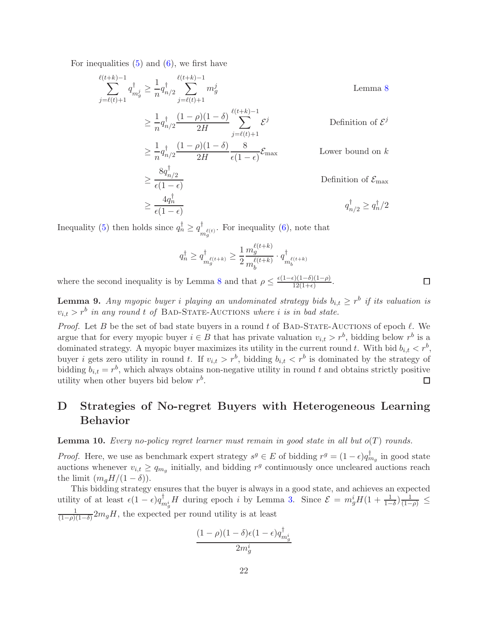For inequalities  $(5)$  and  $(6)$ , we first have

$$
\sum_{j=\ell(t)+1}^{\ell(t+k)-1} q_{mj}^{\dagger} \ge \frac{1}{n} q_{n/2}^{\dagger} \sum_{j=\ell(t)+1}^{\ell(t+k)-1} m_g^j
$$
 Lemma 8  
\n
$$
\ge \frac{1}{n} q_{n/2}^{\dagger} \frac{(1-\rho)(1-\delta)}{2H} \sum_{j=\ell(t)+1}^{\ell(t+k)-1} \mathcal{E}^j
$$
 Definition of  $\mathcal{E}^j$   
\n
$$
\ge \frac{1}{n} q_{n/2}^{\dagger} \frac{(1-\rho)(1-\delta)}{2H} \frac{8}{\epsilon(1-\epsilon)} \mathcal{E}_{\text{max}}
$$
 Lower bound on  $k$   
\n
$$
\ge \frac{8q_{n/2}^{\dagger}}{\epsilon(1-\epsilon)}
$$
 Definition of  $\mathcal{E}_{\text{max}}$   
\n
$$
\ge \frac{4q_n^{\dagger}}{\epsilon(1-\epsilon)}
$$

Inequality [\(5\)](#page-20-0) then holds since  $q_n^{\dagger} \ge q_n^{\dagger}$  $\bigcup_{m_g^{\ell}(t)}^{\infty}$ . For inequality [\(6\)](#page-20-0), note that

$$
q_n^{\dagger} \ge q_{m_g^{\ell(t+k)}}^{\dagger} \ge \frac{1}{2} \frac{m_g^{\ell(t+k)}}{m_b^{\ell(t+k)}} \cdot q_{m_b^{\ell(t+k)}}^{\dagger}
$$

where the second inequality is by Lemma [8](#page-20-1) and that  $\rho \leq \frac{\epsilon(1-\epsilon)(1-\delta)(1-\rho)}{12(1+\epsilon)}$  $\frac{\frac{1}{2}(1-\delta)(1-\rho)}{12(1+\epsilon)}$ 

<span id="page-21-0"></span>**Lemma 9.** Any myopic buyer i playing an undominated strategy bids  $b_{i,t} \geq r^b$  if its valuation is  $v_{i,t} > r^b$  in any round t of BAD-STATE-AUCTIONS where i is in bad state.

*Proof.* Let B be the set of bad state buyers in a round t of BAD-STATE-AUCTIONS of epoch  $\ell$ . We argue that for every myopic buyer  $i \in B$  that has private valuation  $v_{i,t} > r^b$ , bidding below  $r^b$  is a dominated strategy. A myopic buyer maximizes its utility in the current round t. With bid  $b_{i,t} < r^b$ , buyer *i* gets zero utility in round *t*. If  $v_{i,t} > r^b$ , bidding  $b_{i,t} < r^b$  is dominated by the strategy of bidding  $b_{i,t} = r^b$ , which always obtains non-negative utility in round t and obtains strictly positive utility when other buyers bid below  $r^b$ . П

# <span id="page-21-1"></span>D Strategies of No-regret Buyers with Heterogeneous Learning Behavior

<span id="page-21-2"></span>**Lemma 10.** Every no-policy regret learner must remain in good state in all but  $o(T)$  rounds.

*Proof.* Here, we use as benchmark expert strategy  $s^g \in E$  of bidding  $r^g = (1 - \epsilon)q_{mg}^{\dagger}$  in good state auctions whenever  $v_{i,t} \ge q_{m_g}$  initially, and bidding  $r^g$  continuously once uncleared auctions reach the limit  $(m_qH/(1-\delta))$ .

This bidding strategy ensures that the buyer is always in a good state, and achieves an expected utility of at least  $\epsilon (1 - \epsilon) q_n^{\dagger}$  $\lim_{m_g} H$  during epoch *i* by Lemma [3.](#page-17-1) Since  $\mathcal{E} = m_g^i H(1 + \frac{1}{1-\delta}) \frac{1}{(1-\rho)} \leq$ 1  $\frac{1}{(1-\rho)(1-\delta)} 2m_g H$ , the expected per round utility is at least

$$
\frac{(1-\rho)(1-\delta)\epsilon(1-\epsilon)q_{m_g^i}^\dagger}{2m_g^i}
$$

 $\Box$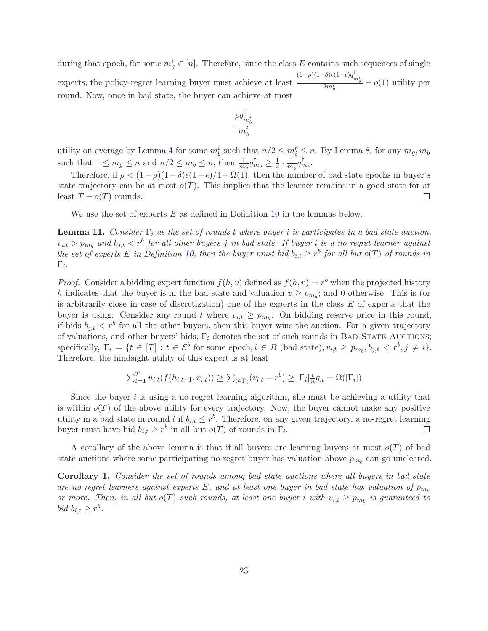during that epoch, for some  $m_g^i \in [n]$ . Therefore, since the class E contains such sequences of single experts, the policy-regret learning buyer must achieve at least  $\frac{(1-\rho)(1-\delta)\epsilon(1-\epsilon)q_{m_{g}^{i}}^{\dagger}}{2m_{g}^{i}}$  – *o*(1) utility per round. Now, once in bad state, the buyer can achieve at most

$$
\frac{\rho q_{m^i_b}^\dagger}{m^i_b}
$$

utility on average by Lemma [4](#page-17-2) for some  $m_b^i$  such that  $n/2 \le m_i^b \le n$ . By Lemma [8,](#page-20-1) for any  $m_g, m_b$ such that  $1 \leq m_g \leq n$  and  $n/2 \leq m_b \leq n$ , then  $\frac{1}{m_g} q_{m_g}^{\dagger} \geq \frac{1}{2}$  $rac{1}{2} \cdot \frac{1}{m}$  $\frac{1}{m_b}q_{m_b}^{\dagger}$ .

Therefore, if  $\rho < (1-\rho)(1-\delta)\epsilon(1-\epsilon)/4-\Omega(1)$ , then the number of bad state epochs in buyer's state trajectory can be at most  $o(T)$ . This implies that the learner remains in a good state for at least  $T - o(T)$  rounds. □

We use the set of experts  $E$  as defined in Definition [10](#page-10-1) in the lemmas below.

<span id="page-22-0"></span>**Lemma 11.** Consider  $\Gamma_i$  as the set of rounds t where buyer i is participates in a bad state auction,  $v_{i,t} > p_{m_b}$  and  $b_{j,t} < r^b$  for all other buyers j in bad state. If buyer i is a no-regret learner against the set of experts E in Definition [10,](#page-10-1) then the buyer must bid  $b_{i,t} \geq r^b$  for all but  $o(T)$  of rounds in  $\Gamma_i.$ 

*Proof.* Consider a bidding expert function  $f(h, v)$  defined as  $f(h, v) = r<sup>b</sup>$  when the projected history h indicates that the buyer is in the bad state and valuation  $v \ge p_{m_b}$ ; and 0 otherwise. This is (or is arbitrarily close in case of discretization) one of the experts in the class  $E$  of experts that the buyer is using. Consider any round t where  $v_{i,t} \geq p_{m_b}$ . On bidding reserve price in this round, if bids  $b_{j,t} < r^b$  for all the other buyers, then this buyer wins the auction. For a given trajectory of valuations, and other buyers' bids,  $\Gamma_i$  denotes the set of such rounds in BAD-STATE-AUCTIONS; specifically,  $\Gamma_i = \{t \in [T] : t \in \mathcal{E}^b \text{ for some epoch}, i \in B \text{ (bad state)}, v_{i,t} \geq p_{m_b}, b_{j,t} < r^b, j \neq i\}.$ Therefore, the hindsight utility of this expert is at least

$$
\sum_{t=1}^{T} u_{i,t}(f(h_{i,t-1}, v_{i,t})) \geq \sum_{t \in \Gamma_i} (v_{i,t} - r^b) \geq |\Gamma_i| \frac{\epsilon}{n} q_n = \Omega(|\Gamma_i|)
$$

Since the buyer  $i$  is using a no-regret learning algorithm, she must be achieving a utility that is within  $o(T)$  of the above utility for every trajectory. Now, the buyer cannot make any positive utility in a bad state in round t if  $b_{i,t} \leq r^b$ . Therefore, on any given trajectory, a no-regret learning buyer must have bid  $b_{i,t} \geq r^b$  in all but  $o(T)$  of rounds in  $\Gamma_i$ .  $\Box$ 

A corollary of the above lemma is that if all buyers are learning buyers at most  $o(T)$  of bad state auctions where some participating no-regret buyer has valuation above  $p_{m_b}$  can go uncleared.

Corollary 1. Consider the set of rounds among bad state auctions where all buyers in bad state are no-regret learners against experts E, and at least one buyer in bad state has valuation of  $p_{m_b}$ or more. Then, in all but  $o(T)$  such rounds, at least one buyer i with  $v_{i,t} \geq p_{m_b}$  is guaranteed to bid  $b_{i,t} \geq r^b$ .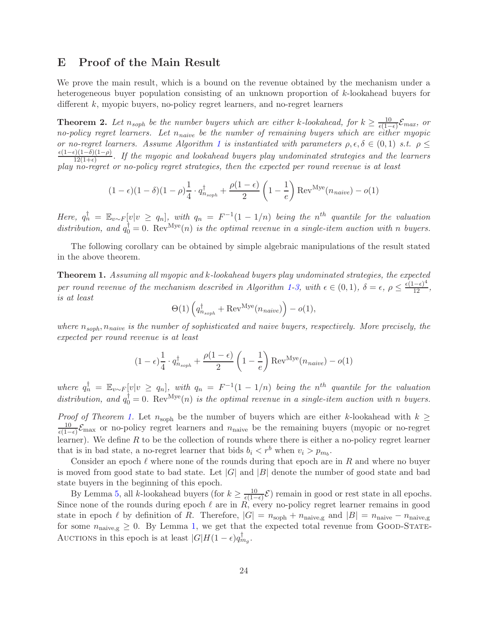## <span id="page-23-0"></span>E Proof of the Main Result

We prove the main result, which is a bound on the revenue obtained by the mechanism under a heterogeneous buyer population consisting of an unknown proportion of k-lookahead buyers for different k, myopic buyers, no-policy regret learners, and no-regret learners

**Theorem 2.** Let  $n_{soph}$  be the number buyers which are either k-lookahead, for  $k \geq \frac{10}{\epsilon(1-\epsilon)}$  $\frac{10}{\epsilon(1-\epsilon)}\mathcal{E}_{max}$ , or no-policy regret learners. Let  $n_{naive}$  be the number of remaining buyers which are either myopic or no-regret learners. Assume Algorithm [1](#page-8-0) is instantiated with parameters  $\rho, \epsilon, \delta \in (0,1)$  s.t.  $\rho \leq$  $\epsilon(1-\epsilon)(1-\delta)(1-\rho)$  $\frac{12(1-e)(1-p)}{12(1+e)}$ . If the myopic and lookahead buyers play undominated strategies and the learners play no-regret or no-policy regret strategies, then the expected per round revenue is at least

$$
(1 - \epsilon)(1 - \delta)(1 - \rho)\frac{1}{4} \cdot q_{n_{soph}}^{\dagger} + \frac{\rho(1 - \epsilon)}{2} \left(1 - \frac{1}{e}\right) \text{Rev}^{\text{Mye}}(n_{naive}) - o(1)
$$

Here,  $q_n^{\dagger} = \mathbb{E}_{v \sim F} [v | v \ge q_n]$ , with  $q_n = F^{-1}(1 - 1/n)$  being the n<sup>th</sup> quantile for the valuation distribution, and  $q_0^{\dagger} = 0$ . Rev<sup>Mye</sup>(n) is the optimal revenue in a single-item auction with n buyers.

The following corollary can be obtained by simple algebraic manipulations of the result stated in the above theorem.

Theorem 1. Assuming all myopic and k-lookahead buyers play undominated strategies, the expected per round revenue of the mechanism described in Algorithm [1-](#page-8-0)[3,](#page-9-0) with  $\epsilon \in (0,1)$ ,  $\delta = \epsilon$ ,  $\rho \leq \frac{\epsilon(1-\epsilon)^4}{12}$ , is at least

$$
\Theta(1)\left(q_{n_{soph}}^\dagger + {\rm Rev}^{\rm Mye}(n_{naive})\right) - o(1),
$$

where  $n_{soph}$ ,  $n_{naive}$  is the number of sophisticated and naive buyers, respectively. More precisely, the expected per round revenue is at least

$$
(1 - \epsilon) \frac{1}{4} \cdot q_{n_{soph}}^{\dagger} + \frac{\rho(1 - \epsilon)}{2} \left(1 - \frac{1}{e}\right) \text{Rev}^{\text{Mye}}(n_{naive}) - o(1)
$$

where  $q_n^{\dagger} = \mathbb{E}_{v \sim F} [v | v \ge q_n],$  with  $q_n = F^{-1}(1 - 1/n)$  being the n<sup>th</sup> quantile for the valuation distribution, and  $q_0^{\dagger} = 0$ . Rev<sup>Mye</sup>(n) is the optimal revenue in a single-item auction with n buyers.

*Proof of Theorem [1.](#page-10-0)* Let  $n_{\text{soph}}$  be the number of buyers which are either k-lookahead with  $k \geq$ 10  $\frac{10}{\epsilon(1-\epsilon)}\mathcal{E}_{\text{max}}$  or no-policy regret learners and  $n_{\text{naive}}$  be the remaining buyers (myopic or no-regret learner). We define  $R$  to be the collection of rounds where there is either a no-policy regret learner that is in bad state, a no-regret learner that bids  $b_i < r^b$  when  $v_i > p_{m_b}$ .

Consider an epoch  $\ell$  where none of the rounds during that epoch are in R and where no buyer is moved from good state to bad state. Let  $|G|$  and  $|B|$  denote the number of good state and bad state buyers in the beginning of this epoch.

By Lemma [5,](#page-18-1) all *k*-lookahead buyers (for  $k \geq \frac{10}{\epsilon(1-\epsilon)}$  $\frac{10}{\epsilon(1-\epsilon)}\mathcal{E}$  remain in good or rest state in all epochs. Since none of the rounds during epoch  $\ell$  are in  $R$ , every no-policy regret learner remains in good state in epoch  $\ell$  by definition of R. Therefore,  $|G| = n_{\text{soph}} + n_{\text{naive,g}}$  and  $|B| = n_{\text{naive}} - n_{\text{naive,g}}$ for some  $n_{\text{naive,g}} \geq 0$ . By Lemma [1,](#page-16-0) we get that the expected total revenue from GOOD-STATE-AUCTIONS in this epoch is at least  $|G|H(1-\epsilon)q_{mg}^{\dagger}$ .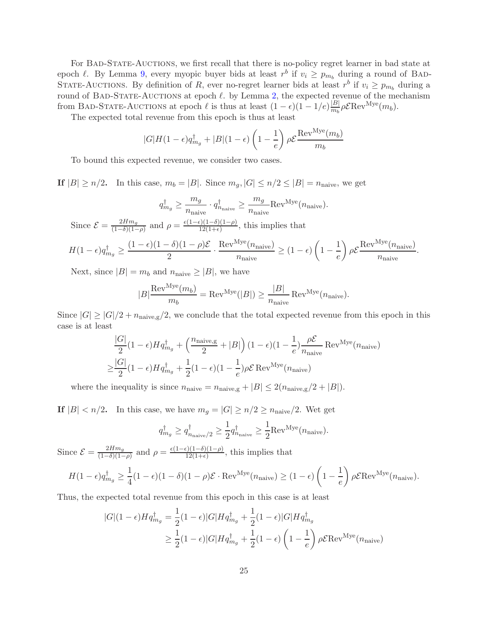For BAD-STATE-AUCTIONS, we first recall that there is no-policy regret learner in bad state at epoch  $\ell$ . By Lemma [9,](#page-21-0) every myopic buyer bids at least  $r^b$  if  $v_i \geq p_{m_b}$  during a round of BAD-STATE-AUCTIONS. By definition of R, ever no-regret learner bids at least  $r^b$  if  $v_i \ge p_{m_b}$  during a round of BAD-STATE-AUCTIONS at epoch  $\ell$ . by Lemma [2,](#page-16-1) the expected revenue of the mechanism from BAD-STATE-AUCTIONS at epoch  $\ell$  is thus at least  $(1 - \epsilon)(1 - 1/e)\frac{|B|}{m_b}$  $\frac{|B|}{m_b} \rho \mathcal{E} \text{Rev}^{\text{Mye}}(m_b).$ 

The expected total revenue from this epoch is thus at least

$$
|G|H(1-\epsilon)q_{m_g}^{\dagger} + |B|(1-\epsilon)\left(1-\frac{1}{e}\right)\rho \mathcal{E}\frac{\text{Rev}^{Mye}(m_b)}{m_b}
$$

To bound this expected revenue, we consider two cases.

If  $|B| \ge n/2$ . In this case,  $m_b = |B|$ . Since  $m_g$ ,  $|G| \le n/2 \le |B| = n_{\text{naive}}$ , we get

$$
q_{mg}^{\dagger} \ge \frac{m_g}{n_{\text{naive}}} \cdot q_{n_{\text{naive}}}^{\dagger} \ge \frac{m_g}{n_{\text{naive}}} \text{Rev}^{\text{Mye}}(n_{\text{naive}}).
$$

Since  $\mathcal{E} = \frac{2Hm_g}{(1-\delta)(1-\delta)}$  $\frac{2Hm_g}{(1-\delta)(1-\rho)}$  and  $\rho = \frac{\epsilon(1-\epsilon)(1-\delta)(1-\rho)}{12(1+\epsilon)}$  $\frac{12(1-e)(1-p)}{12(1+e)}$ , this implies that

$$
H(1-\epsilon)q_{m_g}^{\dagger} \ge \frac{(1-\epsilon)(1-\delta)(1-\rho)\mathcal{E}}{2} \cdot \frac{\text{Rev}^{\text{Mye}}(n_{\text{naive}})}{n_{\text{naive}}} \ge (1-\epsilon)\left(1-\frac{1}{e}\right)\rho\mathcal{E}\frac{\text{Rev}^{\text{Mye}}(n_{\text{naive}})}{n_{\text{naive}}}.
$$

Next, since  $|B| = m_b$  and  $n_{\text{naive}} \ge |B|$ , we have

$$
|B|\frac{\text{Rev}^{\text{Mye}}(m_b)}{m_b} = \text{Rev}^{\text{Mye}}(|B|) \ge \frac{|B|}{n_{\text{naive}}} \text{ Rev}^{\text{Mye}}(n_{\text{naive}}).
$$

Since  $|G| \geq |G|/2 + n_{\text{naive,g}}/2$ , we conclude that the total expected revenue from this epoch in this case is at least

$$
\frac{|G|}{2}(1-\epsilon)Hq_{mg}^{\dagger} + \left(\frac{n_{\text{naive,g}}}{2} + |B|\right)(1-\epsilon)(1-\frac{1}{e})\frac{\rho \mathcal{E}}{n_{\text{naive}}} \text{Rev}^{\text{Mye}}(n_{\text{naive}})
$$

$$
\geq \frac{|G|}{2}(1-\epsilon)Hq_{mg}^{\dagger} + \frac{1}{2}(1-\epsilon)(1-\frac{1}{e})\rho \mathcal{E} \text{ Rev}^{\text{Mye}}(n_{\text{naive}})
$$

where the inequality is since  $n_{\text{naive}} = n_{\text{naive,g}} + |B| \leq 2(n_{\text{naive,g}}/2 + |B|)$ .

If  $|B| < n/2$ . In this case, we have  $m_g = |G| \ge n/2 \ge n_{\text{naive}}/2$ . Wet get

$$
q_{m_g}^{\dagger} \ge q_{n_{\text{naive}}/2}^{\dagger} \ge \frac{1}{2} q_{n_{\text{naive}}}^{\dagger} \ge \frac{1}{2} \text{Rev}^{\text{Mye}}(n_{\text{naive}}).
$$

Since  $\mathcal{E} = \frac{2Hm_g}{(1-\delta)(1-\delta)}$  $\frac{2Hm_g}{(1-\delta)(1-\rho)}$  and  $\rho = \frac{\epsilon(1-\epsilon)(1-\delta)(1-\rho)}{12(1+\epsilon)}$  $\frac{12(1-e)(1-p)}{12(1+e)}$ , this implies that

$$
H(1-\epsilon)q_{m_g}^{\dagger} \ge \frac{1}{4}(1-\epsilon)(1-\delta)(1-\rho)\mathcal{E}\cdot\text{Rev}^{\text{Mye}}(n_{\text{naive}}) \ge (1-\epsilon)\left(1-\frac{1}{e}\right)\rho\mathcal{E}\text{Rev}^{\text{Mye}}(n_{\text{naive}}).
$$

Thus, the expected total revenue from this epoch in this case is at least

$$
|G|(1-\epsilon)Hq_{m_g}^{\dagger} = \frac{1}{2}(1-\epsilon)|G|Hq_{m_g}^{\dagger} + \frac{1}{2}(1-\epsilon)|G|Hq_{m_g}^{\dagger}
$$
  

$$
\geq \frac{1}{2}(1-\epsilon)|G|Hq_{m_g}^{\dagger} + \frac{1}{2}(1-\epsilon)\left(1-\frac{1}{e}\right)\rho \mathcal{E} \text{Rev}^{\text{Mye}}(n_{\text{naive}})
$$